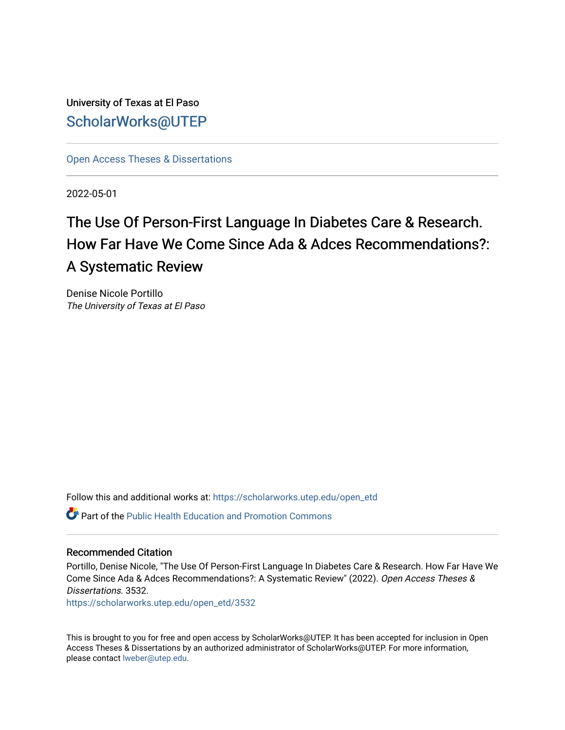University of Texas at El Paso [ScholarWorks@UTEP](https://scholarworks.utep.edu/)

[Open Access Theses & Dissertations](https://scholarworks.utep.edu/open_etd) 

2022-05-01

## The Use Of Person-First Language In Diabetes Care & Research. How Far Have We Come Since Ada & Adces Recommendations?: A Systematic Review

Denise Nicole Portillo The University of Texas at El Paso

Follow this and additional works at: [https://scholarworks.utep.edu/open\\_etd](https://scholarworks.utep.edu/open_etd?utm_source=scholarworks.utep.edu%2Fopen_etd%2F3532&utm_medium=PDF&utm_campaign=PDFCoverPages)

 $\bullet$  Part of the Public Health Education and Promotion Commons

#### Recommended Citation

Portillo, Denise Nicole, "The Use Of Person-First Language In Diabetes Care & Research. How Far Have We Come Since Ada & Adces Recommendations?: A Systematic Review" (2022). Open Access Theses & Dissertations. 3532.

[https://scholarworks.utep.edu/open\\_etd/3532](https://scholarworks.utep.edu/open_etd/3532?utm_source=scholarworks.utep.edu%2Fopen_etd%2F3532&utm_medium=PDF&utm_campaign=PDFCoverPages) 

This is brought to you for free and open access by ScholarWorks@UTEP. It has been accepted for inclusion in Open Access Theses & Dissertations by an authorized administrator of ScholarWorks@UTEP. For more information, please contact [lweber@utep.edu.](mailto:lweber@utep.edu)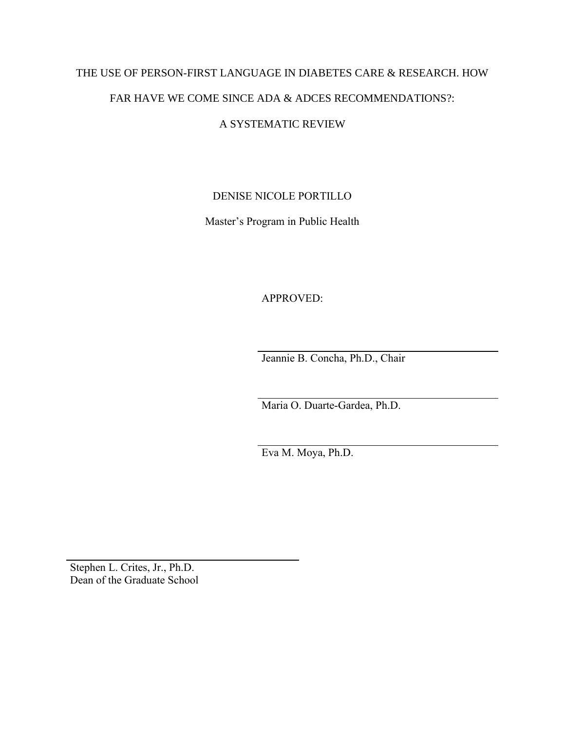# THE USE OF PERSON-FIRST LANGUAGE IN DIABETES CARE & RESEARCH. HOW FAR HAVE WE COME SINCE ADA & ADCES RECOMMENDATIONS?:

## A SYSTEMATIC REVIEW

## DENISE NICOLE PORTILLO

Master's Program in Public Health

APPROVED:

Jeannie B. Concha, Ph.D., Chair

Maria O. Duarte-Gardea, Ph.D.

Eva M. Moya, Ph.D.

Stephen L. Crites, Jr., Ph.D. Dean of the Graduate School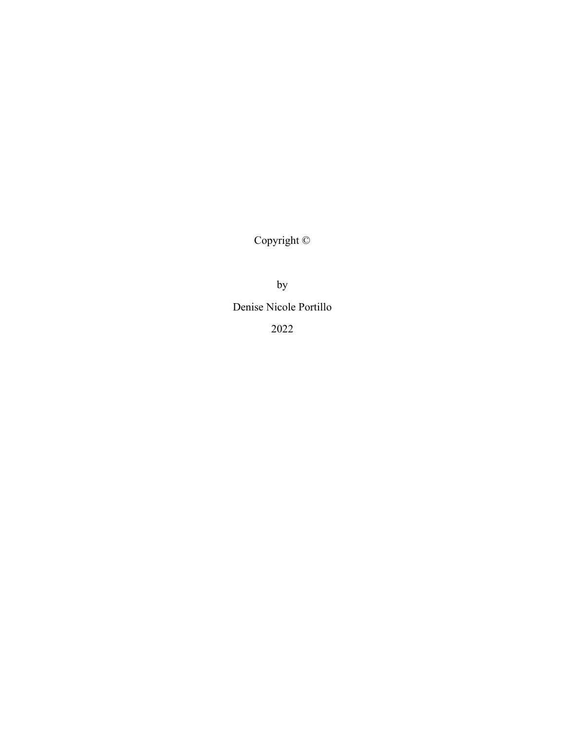Copyright ©

by

Denise Nicole Portillo

2022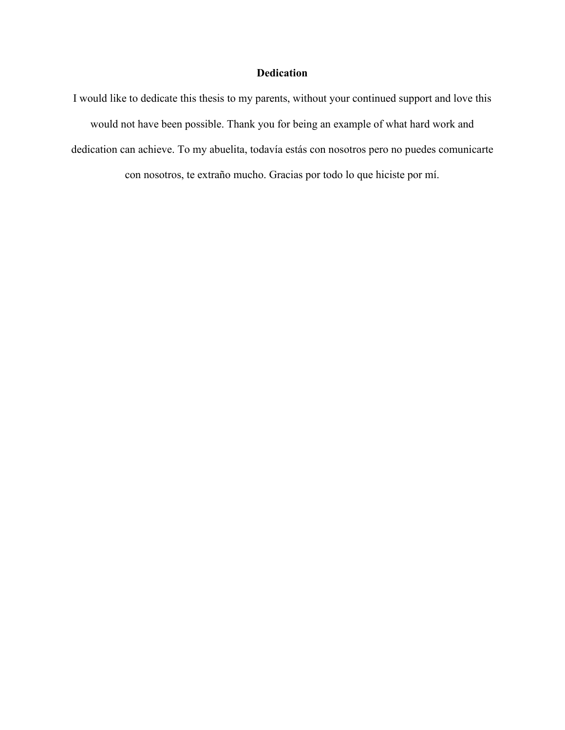### **Dedication**

I would like to dedicate this thesis to my parents, without your continued support and love this would not have been possible. Thank you for being an example of what hard work and dedication can achieve. To my abuelita, todavía estás con nosotros pero no puedes comunicarte con nosotros, te extraño mucho. Gracias por todo lo que hiciste por mí.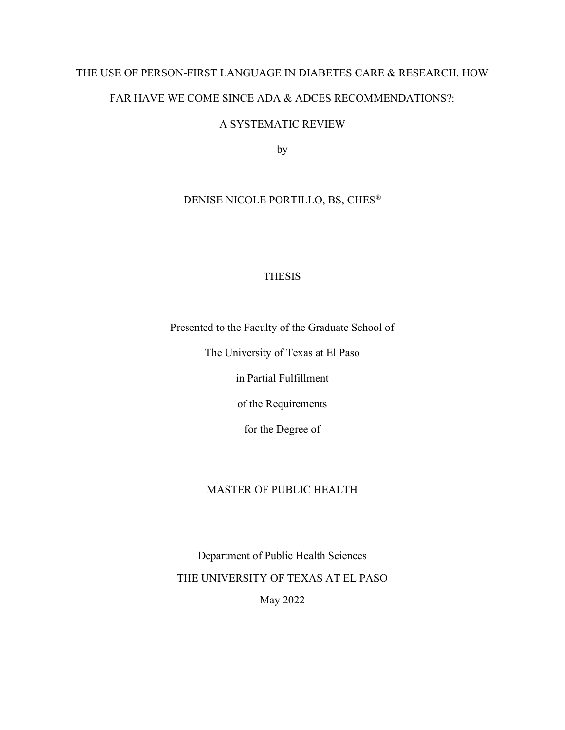# THE USE OF PERSON-FIRST LANGUAGE IN DIABETES CARE & RESEARCH. HOW FAR HAVE WE COME SINCE ADA & ADCES RECOMMENDATIONS?:

## A SYSTEMATIC REVIEW

by

## DENISE NICOLE PORTILLO, BS, CHES®

## **THESIS**

Presented to the Faculty of the Graduate School of

The University of Texas at El Paso

in Partial Fulfillment

of the Requirements

for the Degree of

### MASTER OF PUBLIC HEALTH

Department of Public Health Sciences THE UNIVERSITY OF TEXAS AT EL PASO May 2022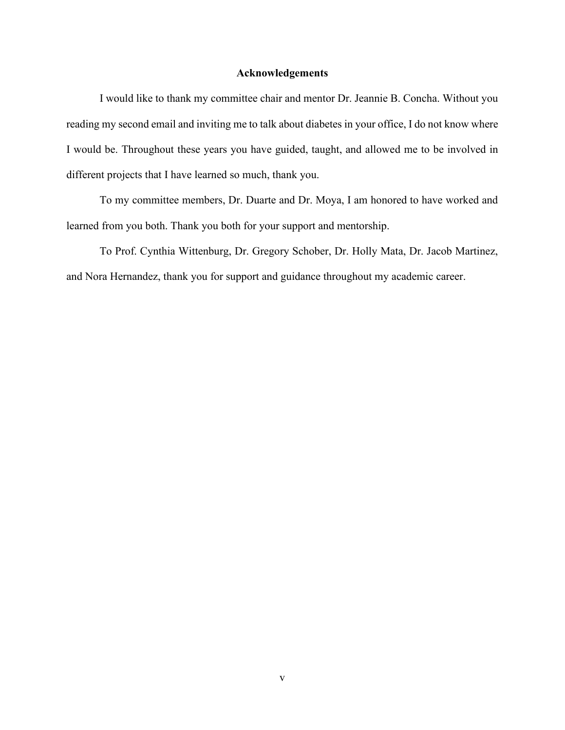#### **Acknowledgements**

<span id="page-5-0"></span>I would like to thank my committee chair and mentor Dr. Jeannie B. Concha. Without you reading my second email and inviting me to talk about diabetes in your office, I do not know where I would be. Throughout these years you have guided, taught, and allowed me to be involved in different projects that I have learned so much, thank you.

To my committee members, Dr. Duarte and Dr. Moya, I am honored to have worked and learned from you both. Thank you both for your support and mentorship.

To Prof. Cynthia Wittenburg, Dr. Gregory Schober, Dr. Holly Mata, Dr. Jacob Martinez, and Nora Hernandez, thank you for support and guidance throughout my academic career.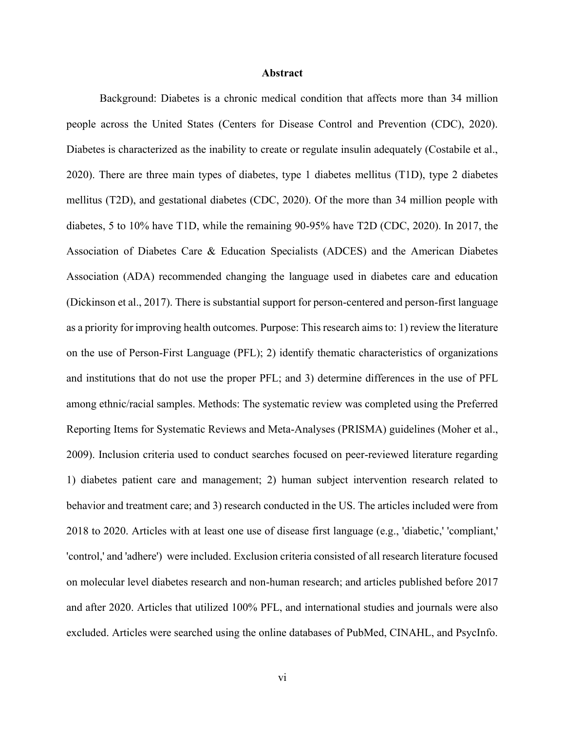#### **Abstract**

<span id="page-6-0"></span>Background: Diabetes is a chronic medical condition that affects more than 34 million people across the United States (Centers for Disease Control and Prevention (CDC), 2020). Diabetes is characterized as the inability to create or regulate insulin adequately (Costabile et al., 2020). There are three main types of diabetes, type 1 diabetes mellitus (T1D), type 2 diabetes mellitus (T2D), and gestational diabetes (CDC, 2020). Of the more than 34 million people with diabetes, 5 to 10% have T1D, while the remaining 90-95% have T2D (CDC, 2020). In 2017, the Association of Diabetes Care & Education Specialists (ADCES) and the American Diabetes Association (ADA) recommended changing the language used in diabetes care and education (Dickinson et al., 2017). There is substantial support for person-centered and person-first language as a priority for improving health outcomes. Purpose: This research aims to: 1) review the literature on the use of Person-First Language (PFL); 2) identify thematic characteristics of organizations and institutions that do not use the proper PFL; and 3) determine differences in the use of PFL among ethnic/racial samples. Methods: The systematic review was completed using the Preferred Reporting Items for Systematic Reviews and Meta-Analyses (PRISMA) guidelines (Moher et al., 2009). Inclusion criteria used to conduct searches focused on peer-reviewed literature regarding 1) diabetes patient care and management; 2) human subject intervention research related to behavior and treatment care; and 3) research conducted in the US. The articles included were from 2018 to 2020. Articles with at least one use of disease first language (e.g., 'diabetic,' 'compliant,' 'control,' and 'adhere') were included. Exclusion criteria consisted of all research literature focused on molecular level diabetes research and non-human research; and articles published before 2017 and after 2020. Articles that utilized 100% PFL, and international studies and journals were also excluded. Articles were searched using the online databases of PubMed, CINAHL, and PsycInfo.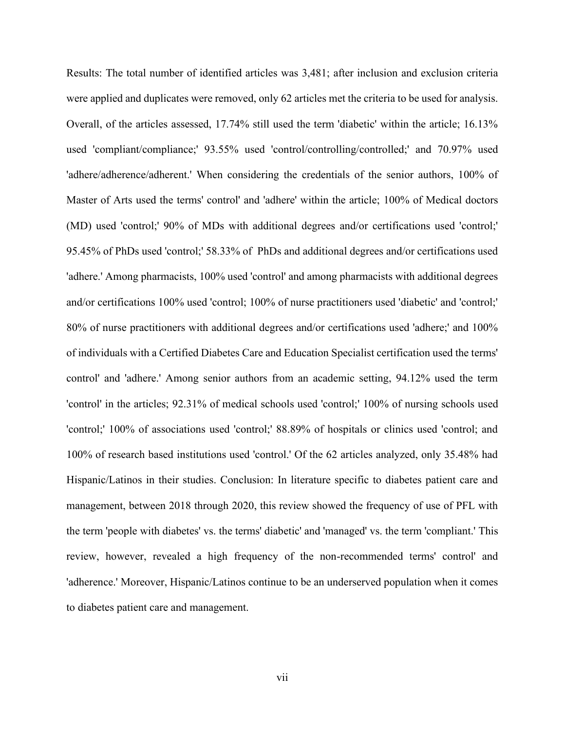Results: The total number of identified articles was 3,481; after inclusion and exclusion criteria were applied and duplicates were removed, only 62 articles met the criteria to be used for analysis. Overall, of the articles assessed, 17.74% still used the term 'diabetic' within the article; 16.13% used 'compliant/compliance;' 93.55% used 'control/controlling/controlled;' and 70.97% used 'adhere/adherence/adherent.' When considering the credentials of the senior authors, 100% of Master of Arts used the terms' control' and 'adhere' within the article; 100% of Medical doctors (MD) used 'control;' 90% of MDs with additional degrees and/or certifications used 'control;' 95.45% of PhDs used 'control;' 58.33% of PhDs and additional degrees and/or certifications used 'adhere.' Among pharmacists, 100% used 'control' and among pharmacists with additional degrees and/or certifications 100% used 'control; 100% of nurse practitioners used 'diabetic' and 'control;' 80% of nurse practitioners with additional degrees and/or certifications used 'adhere;' and 100% of individuals with a Certified Diabetes Care and Education Specialist certification used the terms' control' and 'adhere.' Among senior authors from an academic setting, 94.12% used the term 'control' in the articles; 92.31% of medical schools used 'control;' 100% of nursing schools used 'control;' 100% of associations used 'control;' 88.89% of hospitals or clinics used 'control; and 100% of research based institutions used 'control.' Of the 62 articles analyzed, only 35.48% had Hispanic/Latinos in their studies. Conclusion: In literature specific to diabetes patient care and management, between 2018 through 2020, this review showed the frequency of use of PFL with the term 'people with diabetes' vs. the terms' diabetic' and 'managed' vs. the term 'compliant.' This review, however, revealed a high frequency of the non-recommended terms' control' and 'adherence.' Moreover, Hispanic/Latinos continue to be an underserved population when it comes to diabetes patient care and management.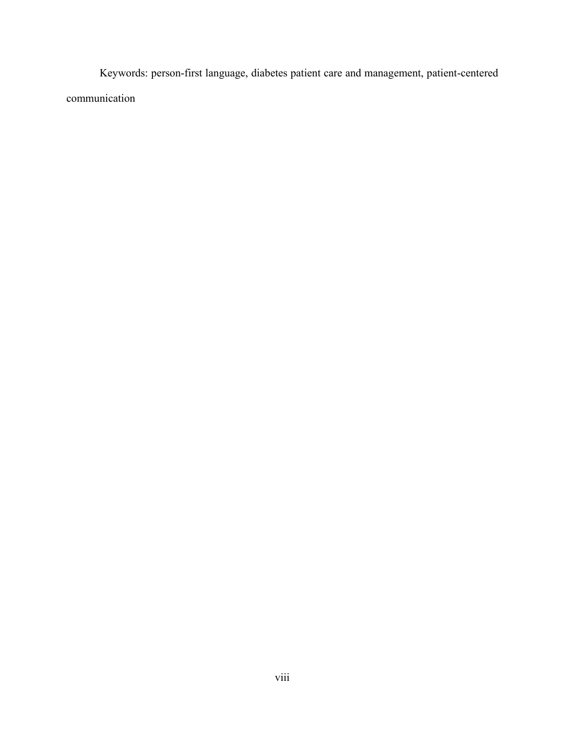Keywords: person-first language, diabetes patient care and management, patient-centered communication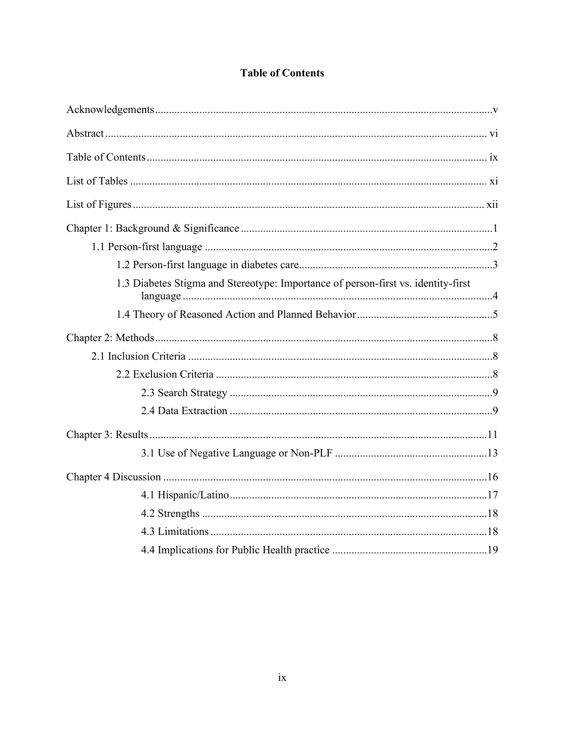<span id="page-9-0"></span>

| 1.3 Diabetes Stigma and Stereotype: Importance of person-first vs. identity-first |
|-----------------------------------------------------------------------------------|
|                                                                                   |
|                                                                                   |
|                                                                                   |
|                                                                                   |
|                                                                                   |
|                                                                                   |
|                                                                                   |
|                                                                                   |
|                                                                                   |
|                                                                                   |
|                                                                                   |
|                                                                                   |
|                                                                                   |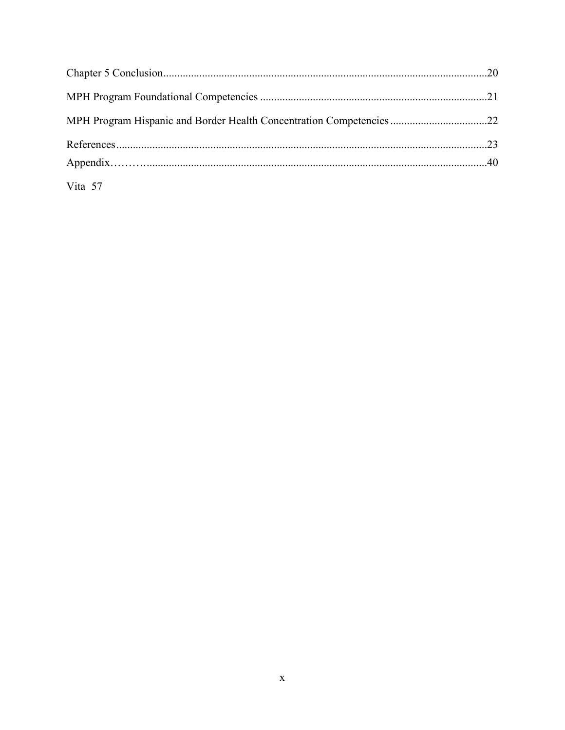| MPH Program Hispanic and Border Health Concentration Competencies 22 |  |
|----------------------------------------------------------------------|--|
|                                                                      |  |
|                                                                      |  |
| Vita 57                                                              |  |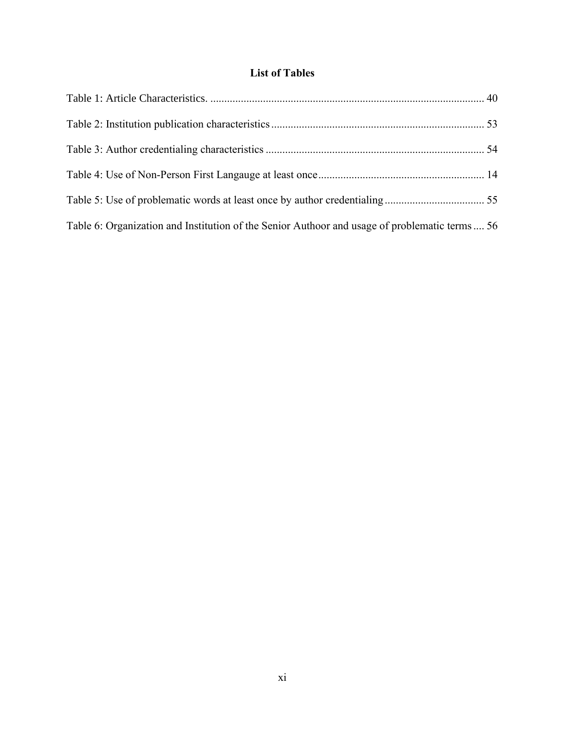## **List of Tables**

<span id="page-11-0"></span>

| Table 6: Organization and Institution of the Senior Authoor and usage of problematic terms  56 |  |
|------------------------------------------------------------------------------------------------|--|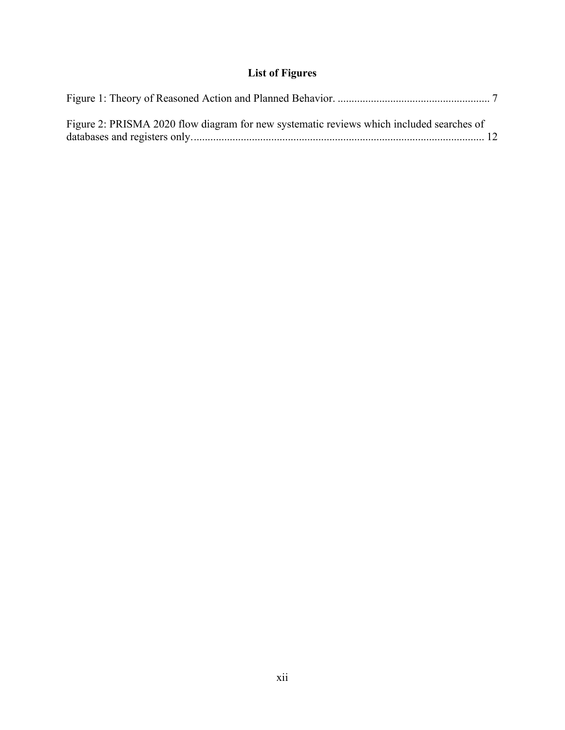## **List of Figures**

<span id="page-12-0"></span>

| Figure 2: PRISMA 2020 flow diagram for new systematic reviews which included searches of |  |
|------------------------------------------------------------------------------------------|--|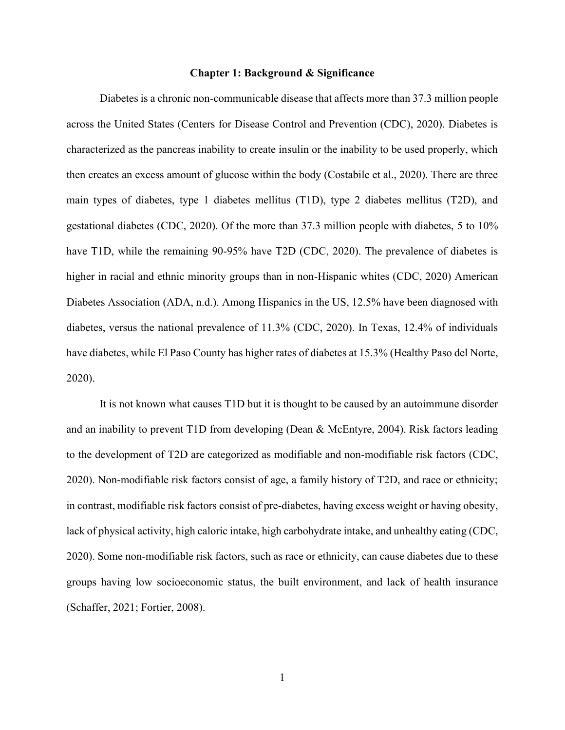#### **Chapter 1: Background & Significance**

<span id="page-13-0"></span>Diabetes is a chronic non-communicable disease that affects more than 37.3 million people across the United States (Centers for Disease Control and Prevention (CDC), 2020). Diabetes is characterized as the pancreas inability to create insulin or the inability to be used properly, which then creates an excess amount of glucose within the body (Costabile et al., 2020). There are three main types of diabetes, type 1 diabetes mellitus (T1D), type 2 diabetes mellitus (T2D), and gestational diabetes (CDC, 2020). Of the more than 37.3 million people with diabetes, 5 to 10% have T1D, while the remaining 90-95% have T2D (CDC, 2020). The prevalence of diabetes is higher in racial and ethnic minority groups than in non-Hispanic whites (CDC, 2020) American Diabetes Association (ADA, n.d.). Among Hispanics in the US, 12.5% have been diagnosed with diabetes, versus the national prevalence of 11.3% (CDC, 2020). In Texas, 12.4% of individuals have diabetes, while El Paso County has higher rates of diabetes at 15.3% (Healthy Paso del Norte, 2020).

It is not known what causes T1D but it is thought to be caused by an autoimmune disorder and an inability to prevent T1D from developing (Dean & McEntyre, 2004). Risk factors leading to the development of T2D are categorized as modifiable and non-modifiable risk factors (CDC, 2020). Non-modifiable risk factors consist of age, a family history of T2D, and race or ethnicity; in contrast, modifiable risk factors consist of pre-diabetes, having excess weight or having obesity, lack of physical activity, high caloric intake, high carbohydrate intake, and unhealthy eating (CDC, 2020). Some non-modifiable risk factors, such as race or ethnicity, can cause diabetes due to these groups having low socioeconomic status, the built environment, and lack of health insurance (Schaffer, 2021; Fortier, 2008).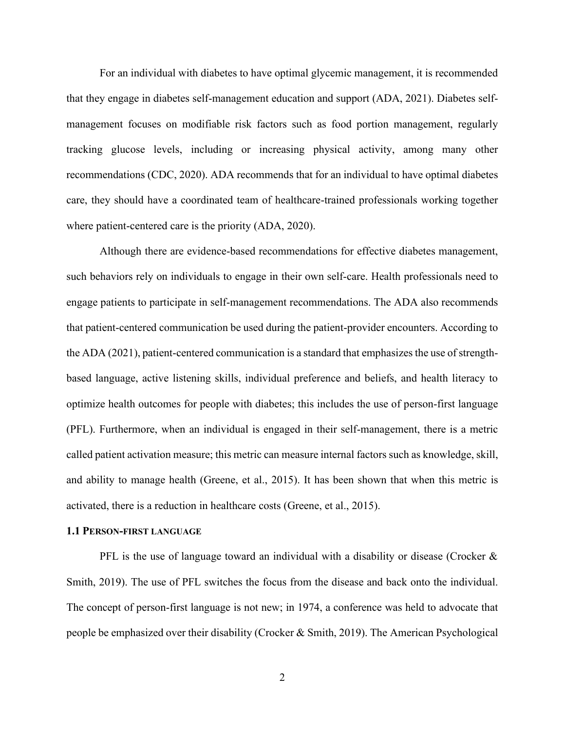For an individual with diabetes to have optimal glycemic management, it is recommended that they engage in diabetes self-management education and support (ADA, 2021). Diabetes selfmanagement focuses on modifiable risk factors such as food portion management, regularly tracking glucose levels, including or increasing physical activity, among many other recommendations (CDC, 2020). ADA recommends that for an individual to have optimal diabetes care, they should have a coordinated team of healthcare-trained professionals working together where patient-centered care is the priority (ADA, 2020).

Although there are evidence-based recommendations for effective diabetes management, such behaviors rely on individuals to engage in their own self-care. Health professionals need to engage patients to participate in self-management recommendations. The ADA also recommends that patient-centered communication be used during the patient-provider encounters. According to the ADA (2021), patient-centered communication is a standard that emphasizes the use of strengthbased language, active listening skills, individual preference and beliefs, and health literacy to optimize health outcomes for people with diabetes; this includes the use of person-first language (PFL). Furthermore, when an individual is engaged in their self-management, there is a metric called patient activation measure; this metric can measure internal factors such as knowledge, skill, and ability to manage health (Greene, et al., 2015). It has been shown that when this metric is activated, there is a reduction in healthcare costs (Greene, et al., 2015).

#### <span id="page-14-0"></span>**1.1 PERSON-FIRST LANGUAGE**

PFL is the use of language toward an individual with a disability or disease (Crocker  $\&$ Smith, 2019). The use of PFL switches the focus from the disease and back onto the individual. The concept of person-first language is not new; in 1974, a conference was held to advocate that people be emphasized over their disability (Crocker & Smith, 2019). The American Psychological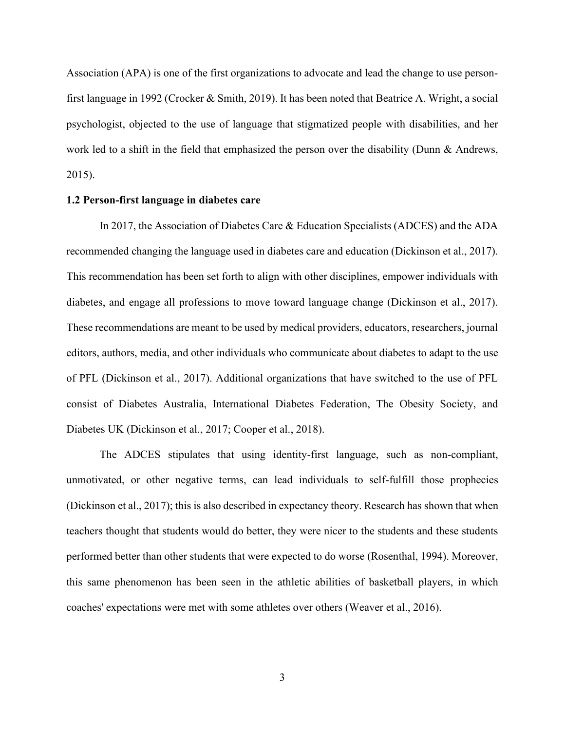Association (APA) is one of the first organizations to advocate and lead the change to use personfirst language in 1992 (Crocker & Smith, 2019). It has been noted that Beatrice A. Wright, a social psychologist, objected to the use of language that stigmatized people with disabilities, and her work led to a shift in the field that emphasized the person over the disability (Dunn & Andrews, 2015).

#### <span id="page-15-0"></span>**1.2 Person-first language in diabetes care**

In 2017, the Association of Diabetes Care & Education Specialists (ADCES) and the ADA recommended changing the language used in diabetes care and education (Dickinson et al., 2017). This recommendation has been set forth to align with other disciplines, empower individuals with diabetes, and engage all professions to move toward language change (Dickinson et al., 2017). These recommendations are meant to be used by medical providers, educators, researchers, journal editors, authors, media, and other individuals who communicate about diabetes to adapt to the use of PFL (Dickinson et al., 2017). Additional organizations that have switched to the use of PFL consist of Diabetes Australia, International Diabetes Federation, The Obesity Society, and Diabetes UK (Dickinson et al., 2017; Cooper et al., 2018).

The ADCES stipulates that using identity-first language, such as non-compliant, unmotivated, or other negative terms, can lead individuals to self-fulfill those prophecies (Dickinson et al., 2017); this is also described in expectancy theory. Research has shown that when teachers thought that students would do better, they were nicer to the students and these students performed better than other students that were expected to do worse (Rosenthal, 1994). Moreover, this same phenomenon has been seen in the athletic abilities of basketball players, in which coaches' expectations were met with some athletes over others (Weaver et al., 2016).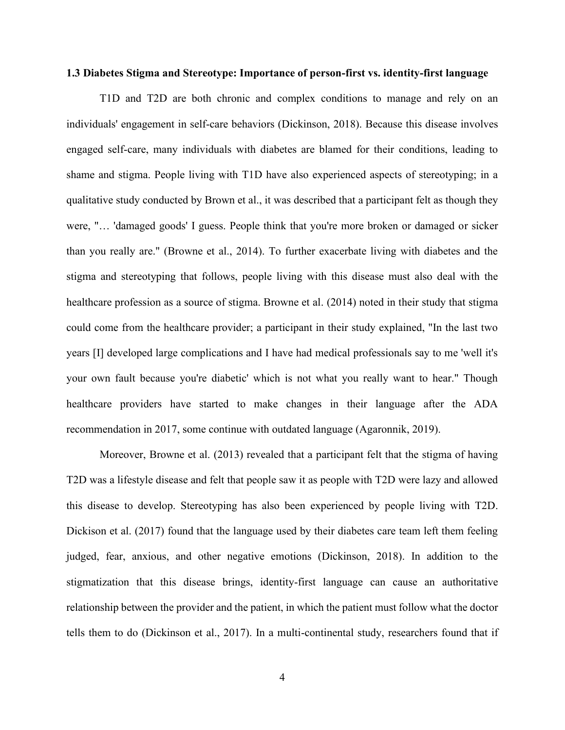#### <span id="page-16-0"></span>**1.3 Diabetes Stigma and Stereotype: Importance of person-first vs. identity-first language**

T1D and T2D are both chronic and complex conditions to manage and rely on an individuals' engagement in self-care behaviors (Dickinson, 2018). Because this disease involves engaged self-care, many individuals with diabetes are blamed for their conditions, leading to shame and stigma. People living with T1D have also experienced aspects of stereotyping; in a qualitative study conducted by Brown et al., it was described that a participant felt as though they were, "… 'damaged goods' I guess. People think that you're more broken or damaged or sicker than you really are." (Browne et al., 2014). To further exacerbate living with diabetes and the stigma and stereotyping that follows, people living with this disease must also deal with the healthcare profession as a source of stigma. Browne et al. (2014) noted in their study that stigma could come from the healthcare provider; a participant in their study explained, "In the last two years [I] developed large complications and I have had medical professionals say to me 'well it's your own fault because you're diabetic' which is not what you really want to hear." Though healthcare providers have started to make changes in their language after the ADA recommendation in 2017, some continue with outdated language (Agaronnik, 2019).

Moreover, Browne et al. (2013) revealed that a participant felt that the stigma of having T2D was a lifestyle disease and felt that people saw it as people with T2D were lazy and allowed this disease to develop. Stereotyping has also been experienced by people living with T2D. Dickison et al. (2017) found that the language used by their diabetes care team left them feeling judged, fear, anxious, and other negative emotions (Dickinson, 2018). In addition to the stigmatization that this disease brings, identity-first language can cause an authoritative relationship between the provider and the patient, in which the patient must follow what the doctor tells them to do (Dickinson et al., 2017). In a multi-continental study, researchers found that if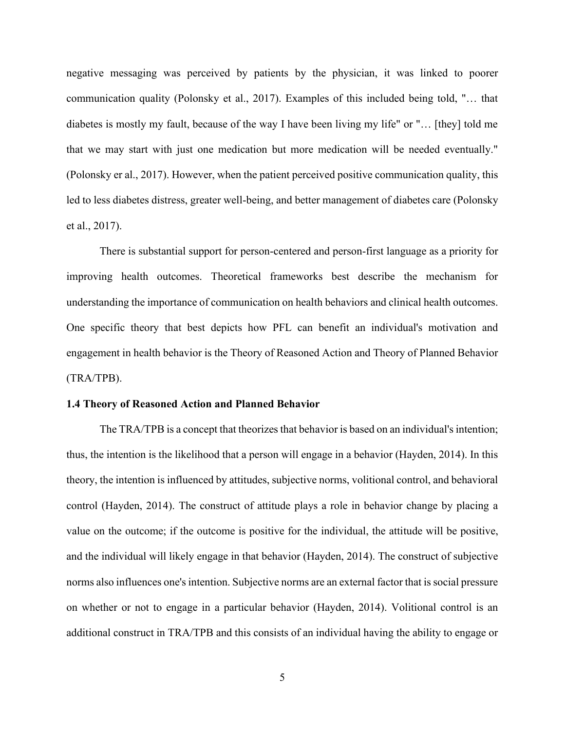negative messaging was perceived by patients by the physician, it was linked to poorer communication quality (Polonsky et al., 2017). Examples of this included being told, "… that diabetes is mostly my fault, because of the way I have been living my life" or "… [they] told me that we may start with just one medication but more medication will be needed eventually." (Polonsky er al., 2017). However, when the patient perceived positive communication quality, this led to less diabetes distress, greater well-being, and better management of diabetes care (Polonsky et al., 2017).

There is substantial support for person-centered and person-first language as a priority for improving health outcomes. Theoretical frameworks best describe the mechanism for understanding the importance of communication on health behaviors and clinical health outcomes. One specific theory that best depicts how PFL can benefit an individual's motivation and engagement in health behavior is the Theory of Reasoned Action and Theory of Planned Behavior (TRA/TPB).

#### <span id="page-17-0"></span>**1.4 Theory of Reasoned Action and Planned Behavior**

The TRA/TPB is a concept that theorizes that behavior is based on an individual's intention; thus, the intention is the likelihood that a person will engage in a behavior (Hayden, 2014). In this theory, the intention is influenced by attitudes, subjective norms, volitional control, and behavioral control (Hayden, 2014). The construct of attitude plays a role in behavior change by placing a value on the outcome; if the outcome is positive for the individual, the attitude will be positive, and the individual will likely engage in that behavior (Hayden, 2014). The construct of subjective norms also influences one's intention. Subjective norms are an external factor that is social pressure on whether or not to engage in a particular behavior (Hayden, 2014). Volitional control is an additional construct in TRA/TPB and this consists of an individual having the ability to engage or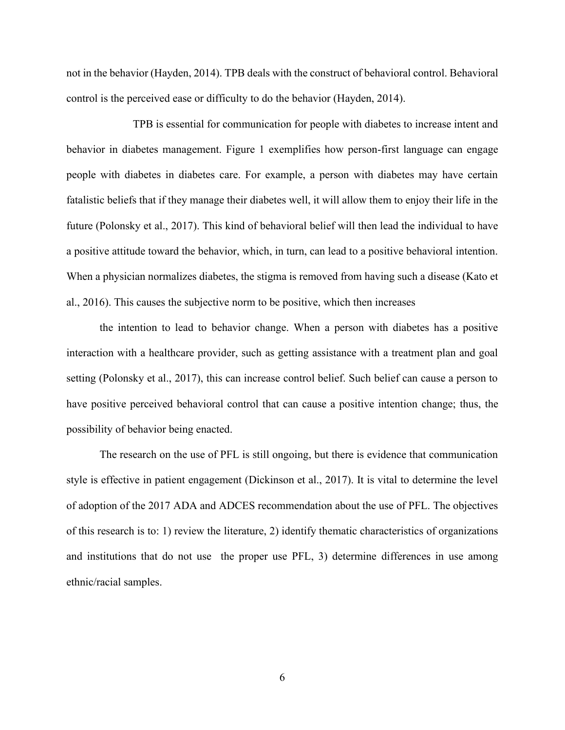not in the behavior (Hayden, 2014). TPB deals with the construct of behavioral control. Behavioral control is the perceived ease or difficulty to do the behavior (Hayden, 2014).

TPB is essential for communication for people with diabetes to increase intent and behavior in diabetes management. Figure 1 exemplifies how person-first language can engage people with diabetes in diabetes care. For example, a person with diabetes may have certain fatalistic beliefs that if they manage their diabetes well, it will allow them to enjoy their life in the future (Polonsky et al., 2017). This kind of behavioral belief will then lead the individual to have a positive attitude toward the behavior, which, in turn, can lead to a positive behavioral intention. When a physician normalizes diabetes, the stigma is removed from having such a disease (Kato et al., 2016). This causes the subjective norm to be positive, which then increases

the intention to lead to behavior change. When a person with diabetes has a positive interaction with a healthcare provider, such as getting assistance with a treatment plan and goal setting (Polonsky et al., 2017), this can increase control belief. Such belief can cause a person to have positive perceived behavioral control that can cause a positive intention change; thus, the possibility of behavior being enacted.

The research on the use of PFL is still ongoing, but there is evidence that communication style is effective in patient engagement (Dickinson et al., 2017). It is vital to determine the level of adoption of the 2017 ADA and ADCES recommendation about the use of PFL. The objectives of this research is to: 1) review the literature, 2) identify thematic characteristics of organizations and institutions that do not use the proper use PFL, 3) determine differences in use among ethnic/racial samples.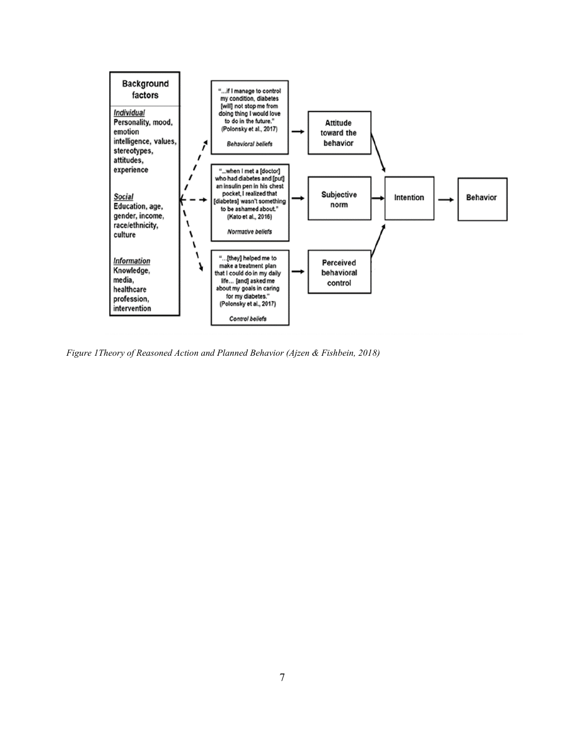

*Figure 1Theory of Reasoned Action and Planned Behavior (Ajzen & Fishbein, 2018)*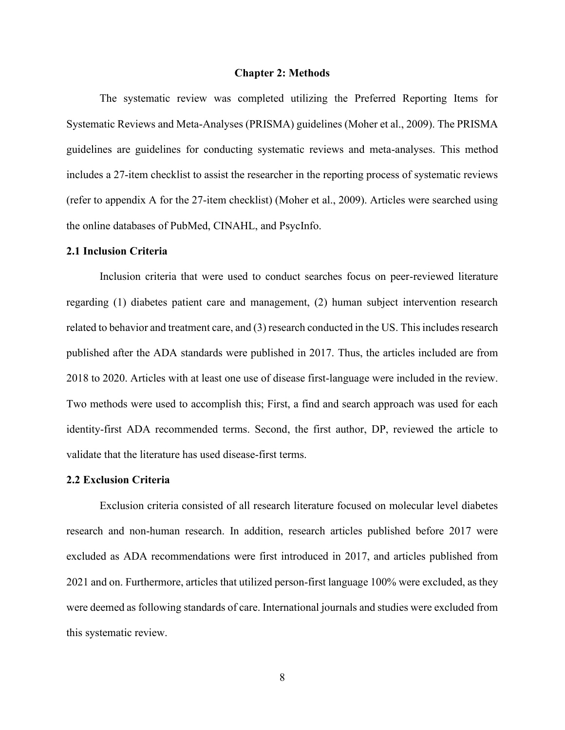#### **Chapter 2: Methods**

<span id="page-20-0"></span>The systematic review was completed utilizing the Preferred Reporting Items for Systematic Reviews and Meta-Analyses (PRISMA) guidelines (Moher et al., 2009). The PRISMA guidelines are guidelines for conducting systematic reviews and meta-analyses. This method includes a 27-item checklist to assist the researcher in the reporting process of systematic reviews (refer to appendix A for the 27-item checklist) (Moher et al., 2009). Articles were searched using the online databases of PubMed, CINAHL, and PsycInfo.

#### <span id="page-20-1"></span>**2.1 Inclusion Criteria**

Inclusion criteria that were used to conduct searches focus on peer-reviewed literature regarding (1) diabetes patient care and management, (2) human subject intervention research related to behavior and treatment care, and (3) research conducted in the US. This includes research published after the ADA standards were published in 2017. Thus, the articles included are from 2018 to 2020. Articles with at least one use of disease first-language were included in the review. Two methods were used to accomplish this; First, a find and search approach was used for each identity-first ADA recommended terms. Second, the first author, DP, reviewed the article to validate that the literature has used disease-first terms.

#### <span id="page-20-2"></span>**2.2 Exclusion Criteria**

Exclusion criteria consisted of all research literature focused on molecular level diabetes research and non-human research. In addition, research articles published before 2017 were excluded as ADA recommendations were first introduced in 2017, and articles published from 2021 and on. Furthermore, articles that utilized person-first language 100% were excluded, as they were deemed as following standards of care. International journals and studies were excluded from this systematic review.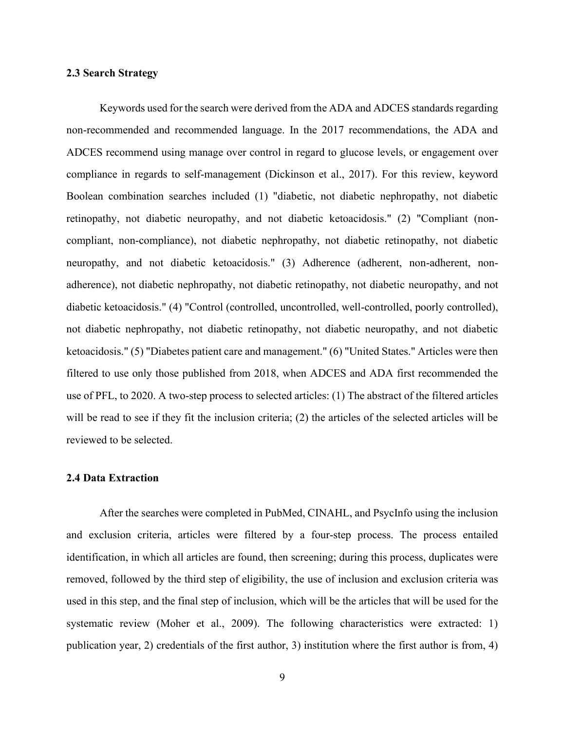#### <span id="page-21-0"></span>**2.3 Search Strategy**

Keywords used for the search were derived from the ADA and ADCES standards regarding non-recommended and recommended language. In the 2017 recommendations, the ADA and ADCES recommend using manage over control in regard to glucose levels, or engagement over compliance in regards to self-management (Dickinson et al., 2017). For this review, keyword Boolean combination searches included (1) "diabetic, not diabetic nephropathy, not diabetic retinopathy, not diabetic neuropathy, and not diabetic ketoacidosis." (2) "Compliant (noncompliant, non-compliance), not diabetic nephropathy, not diabetic retinopathy, not diabetic neuropathy, and not diabetic ketoacidosis." (3) Adherence (adherent, non-adherent, nonadherence), not diabetic nephropathy, not diabetic retinopathy, not diabetic neuropathy, and not diabetic ketoacidosis." (4) "Control (controlled, uncontrolled, well-controlled, poorly controlled), not diabetic nephropathy, not diabetic retinopathy, not diabetic neuropathy, and not diabetic ketoacidosis." (5) "Diabetes patient care and management." (6) "United States." Articles were then filtered to use only those published from 2018, when ADCES and ADA first recommended the use of PFL, to 2020. A two-step process to selected articles: (1) The abstract of the filtered articles will be read to see if they fit the inclusion criteria; (2) the articles of the selected articles will be reviewed to be selected.

#### <span id="page-21-1"></span>**2.4 Data Extraction**

After the searches were completed in PubMed, CINAHL, and PsycInfo using the inclusion and exclusion criteria, articles were filtered by a four-step process. The process entailed identification, in which all articles are found, then screening; during this process, duplicates were removed, followed by the third step of eligibility, the use of inclusion and exclusion criteria was used in this step, and the final step of inclusion, which will be the articles that will be used for the systematic review (Moher et al., 2009). The following characteristics were extracted: 1) publication year, 2) credentials of the first author, 3) institution where the first author is from, 4)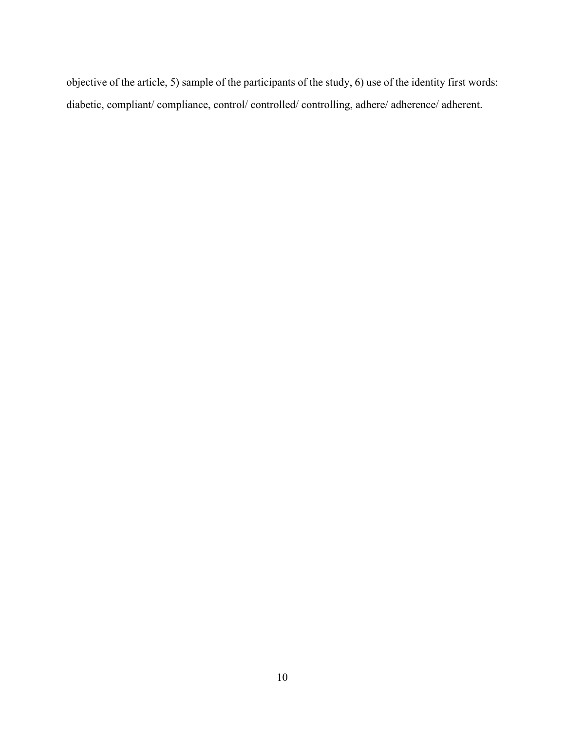objective of the article, 5) sample of the participants of the study, 6) use of the identity first words: diabetic, compliant/ compliance, control/ controlled/ controlling, adhere/ adherence/ adherent.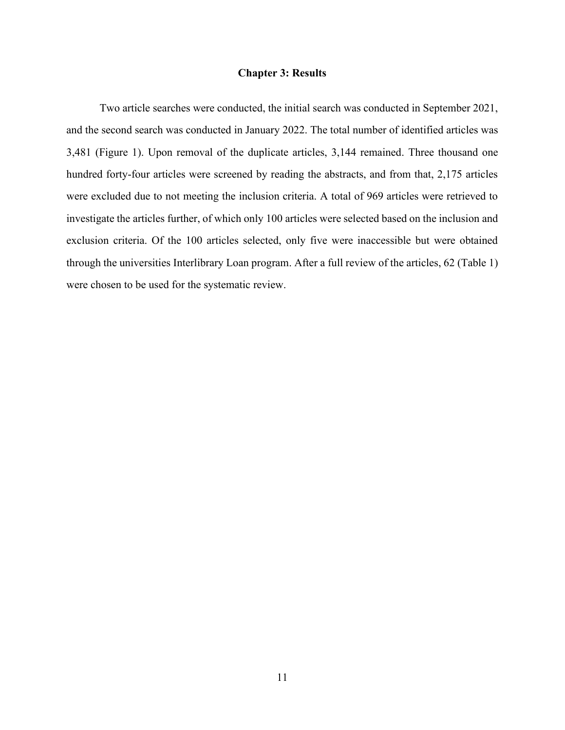#### **Chapter 3: Results**

<span id="page-23-0"></span>Two article searches were conducted, the initial search was conducted in September 2021, and the second search was conducted in January 2022. The total number of identified articles was 3,481 (Figure 1). Upon removal of the duplicate articles, 3,144 remained. Three thousand one hundred forty-four articles were screened by reading the abstracts, and from that, 2,175 articles were excluded due to not meeting the inclusion criteria. A total of 969 articles were retrieved to investigate the articles further, of which only 100 articles were selected based on the inclusion and exclusion criteria. Of the 100 articles selected, only five were inaccessible but were obtained through the universities Interlibrary Loan program. After a full review of the articles, 62 (Table 1) were chosen to be used for the systematic review.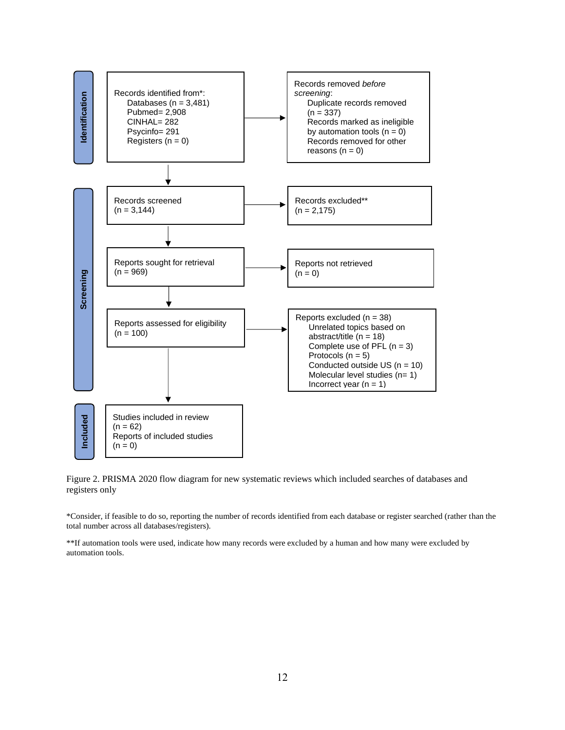

Figure 2. PRISMA 2020 flow diagram for new systematic reviews which included searches of databases and registers only

\*Consider, if feasible to do so, reporting the number of records identified from each database or register searched (rather than the total number across all databases/registers).

\*\*If automation tools were used, indicate how many records were excluded by a human and how many were excluded by automation tools.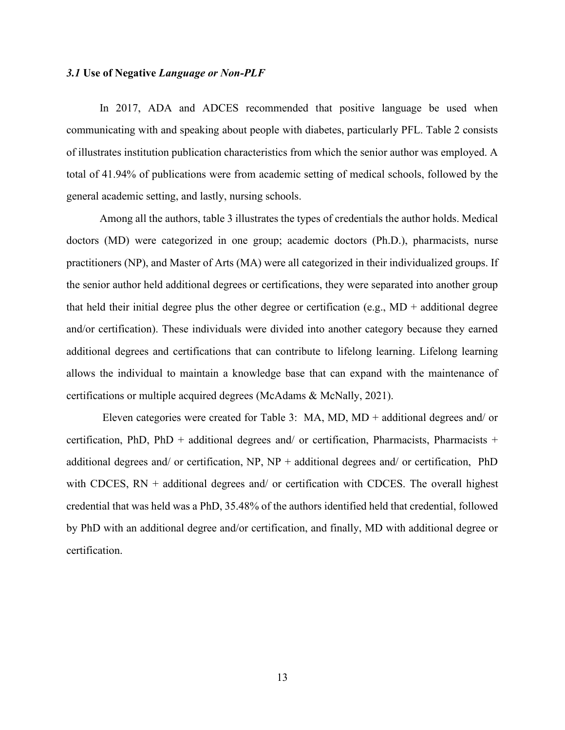#### <span id="page-25-0"></span>*3.1* **Use of Negative** *Language or Non-PLF*

In 2017, ADA and ADCES recommended that positive language be used when communicating with and speaking about people with diabetes, particularly PFL. Table 2 consists of illustrates institution publication characteristics from which the senior author was employed. A total of 41.94% of publications were from academic setting of medical schools, followed by the general academic setting, and lastly, nursing schools.

Among all the authors, table 3 illustrates the types of credentials the author holds. Medical doctors (MD) were categorized in one group; academic doctors (Ph.D.), pharmacists, nurse practitioners (NP), and Master of Arts (MA) were all categorized in their individualized groups. If the senior author held additional degrees or certifications, they were separated into another group that held their initial degree plus the other degree or certification (e.g., MD + additional degree and/or certification). These individuals were divided into another category because they earned additional degrees and certifications that can contribute to lifelong learning. Lifelong learning allows the individual to maintain a knowledge base that can expand with the maintenance of certifications or multiple acquired degrees (McAdams & McNally, 2021).

Eleven categories were created for Table 3: MA, MD, MD + additional degrees and/ or certification, PhD, PhD + additional degrees and/ or certification, Pharmacists, Pharmacists + additional degrees and/ or certification,  $NP$ ,  $NP$  + additional degrees and/ or certification,  $PhD$ with CDCES,  $RN + additional$  degrees and/ or certification with CDCES. The overall highest credential that was held was a PhD, 35.48% of the authors identified held that credential, followed by PhD with an additional degree and/or certification, and finally, MD with additional degree or certification.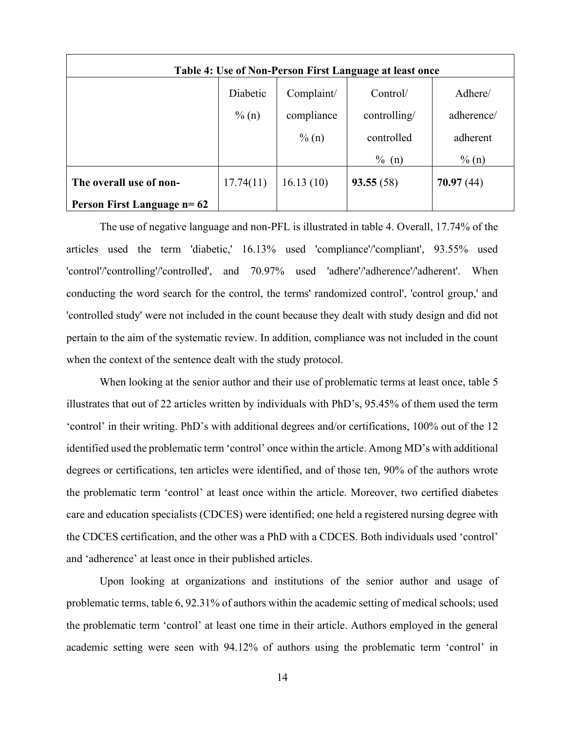| Table 4: Use of Non-Person First Language at least once |           |            |              |            |
|---------------------------------------------------------|-----------|------------|--------------|------------|
|                                                         | Diabetic  | Complaint/ | Control/     | Adhere/    |
|                                                         | $\% (n)$  | compliance | controlling/ | adherence/ |
|                                                         |           | $\%$ (n)   | controlled   | adherent   |
|                                                         |           |            | $\%$<br>(n)  | $\%$ (n)   |
| The overall use of non-                                 | 17.74(11) | 16.13(10)  | 93.55(58)    | 70.97(44)  |
| <b>Person First Language n= 62</b>                      |           |            |              |            |

The use of negative language and non-PFL is illustrated in table 4. Overall, 17.74% of the articles used the term 'diabetic,' 16.13% used 'compliance'/'compliant', 93.55% used 'control'/'controlling'/'controlled', and 70.97% used 'adhere'/'adherence'/'adherent'. When conducting the word search for the control, the terms' randomized control', 'control group,' and 'controlled study' were not included in the count because they dealt with study design and did not pertain to the aim of the systematic review. In addition, compliance was not included in the count when the context of the sentence dealt with the study protocol.

When looking at the senior author and their use of problematic terms at least once, table 5 illustrates that out of 22 articles written by individuals with PhD's, 95.45% of them used the term 'control' in their writing. PhD's with additional degrees and/or certifications, 100% out of the 12 identified used the problematic term 'control' once within the article. Among MD's with additional degrees or certifications, ten articles were identified, and of those ten, 90% of the authors wrote the problematic term 'control' at least once within the article. Moreover, two certified diabetes care and education specialists (CDCES) were identified; one held a registered nursing degree with the CDCES certification, and the other was a PhD with a CDCES. Both individuals used 'control' and 'adherence' at least once in their published articles.

Upon looking at organizations and institutions of the senior author and usage of problematic terms, table 6, 92.31% of authors within the academic setting of medical schools; used the problematic term 'control' at least one time in their article. Authors employed in the general academic setting were seen with 94.12% of authors using the problematic term 'control' in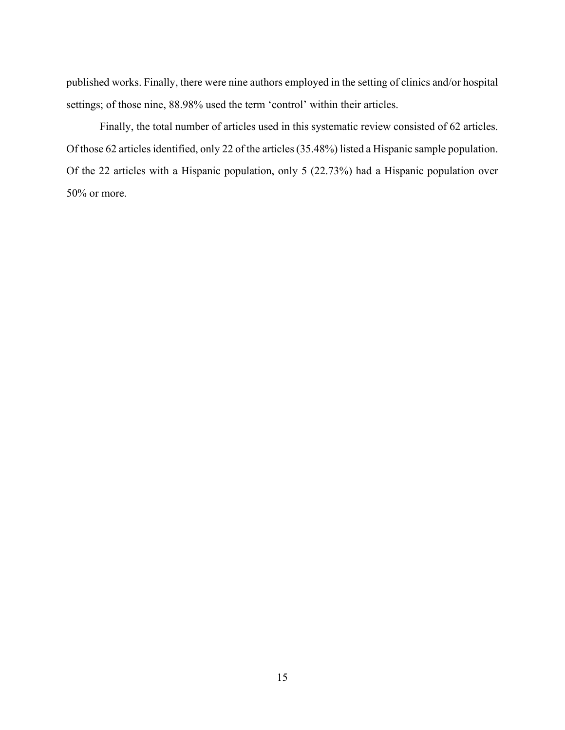published works. Finally, there were nine authors employed in the setting of clinics and/or hospital settings; of those nine, 88.98% used the term 'control' within their articles.

Finally, the total number of articles used in this systematic review consisted of 62 articles. Of those 62 articles identified, only 22 of the articles (35.48%) listed a Hispanic sample population. Of the 22 articles with a Hispanic population, only 5 (22.73%) had a Hispanic population over 50% or more.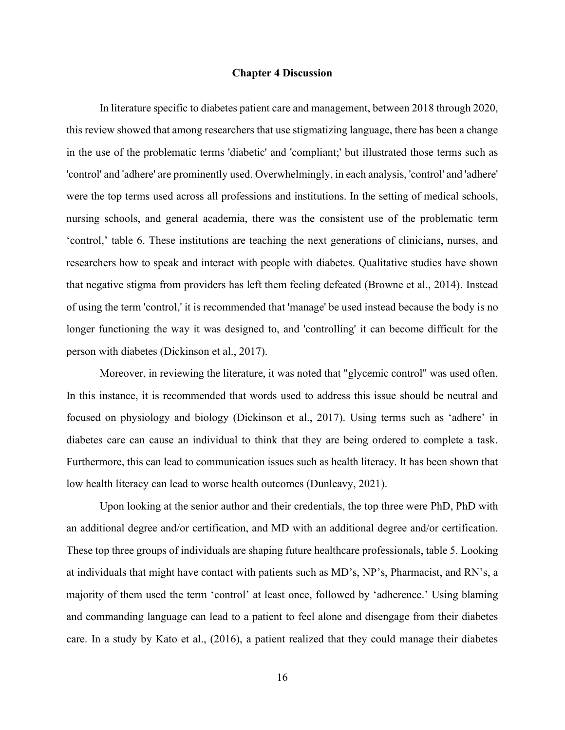#### **Chapter 4 Discussion**

<span id="page-28-0"></span>In literature specific to diabetes patient care and management, between 2018 through 2020, this review showed that among researchers that use stigmatizing language, there has been a change in the use of the problematic terms 'diabetic' and 'compliant;' but illustrated those terms such as 'control' and 'adhere' are prominently used. Overwhelmingly, in each analysis, 'control' and 'adhere' were the top terms used across all professions and institutions. In the setting of medical schools, nursing schools, and general academia, there was the consistent use of the problematic term 'control,' table 6. These institutions are teaching the next generations of clinicians, nurses, and researchers how to speak and interact with people with diabetes. Qualitative studies have shown that negative stigma from providers has left them feeling defeated (Browne et al., 2014). Instead of using the term 'control,' it is recommended that 'manage' be used instead because the body is no longer functioning the way it was designed to, and 'controlling' it can become difficult for the person with diabetes (Dickinson et al., 2017).

Moreover, in reviewing the literature, it was noted that "glycemic control" was used often. In this instance, it is recommended that words used to address this issue should be neutral and focused on physiology and biology (Dickinson et al., 2017). Using terms such as 'adhere' in diabetes care can cause an individual to think that they are being ordered to complete a task. Furthermore, this can lead to communication issues such as health literacy. It has been shown that low health literacy can lead to worse health outcomes (Dunleavy, 2021).

Upon looking at the senior author and their credentials, the top three were PhD, PhD with an additional degree and/or certification, and MD with an additional degree and/or certification. These top three groups of individuals are shaping future healthcare professionals, table 5. Looking at individuals that might have contact with patients such as MD's, NP's, Pharmacist, and RN's, a majority of them used the term 'control' at least once, followed by 'adherence.' Using blaming and commanding language can lead to a patient to feel alone and disengage from their diabetes care. In a study by Kato et al., (2016), a patient realized that they could manage their diabetes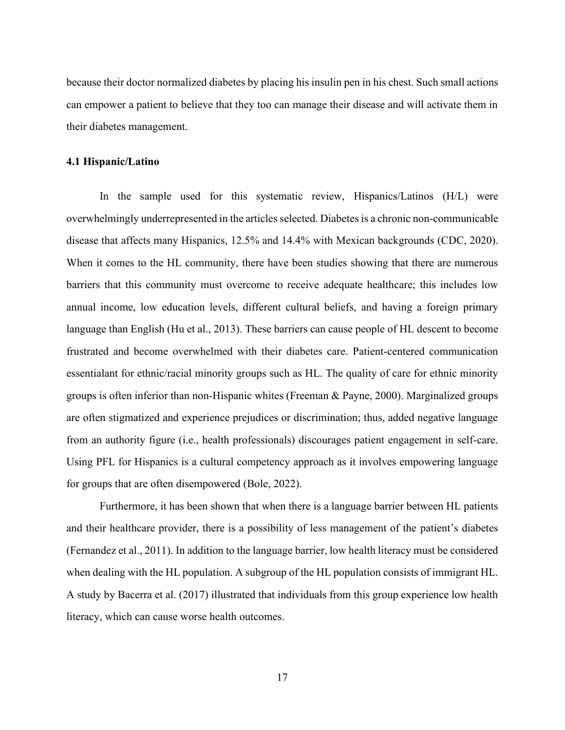because their doctor normalized diabetes by placing his insulin pen in his chest. Such small actions can empower a patient to believe that they too can manage their disease and will activate them in their diabetes management.

#### <span id="page-29-0"></span>**4.1 Hispanic/Latino**

In the sample used for this systematic review, Hispanics/Latinos (H/L) were overwhelmingly underrepresented in the articles selected. Diabetes is a chronic non-communicable disease that affects many Hispanics, 12.5% and 14.4% with Mexican backgrounds (CDC, 2020). When it comes to the HL community, there have been studies showing that there are numerous barriers that this community must overcome to receive adequate healthcare; this includes low annual income, low education levels, different cultural beliefs, and having a foreign primary language than English (Hu et al., 2013). These barriers can cause people of HL descent to become frustrated and become overwhelmed with their diabetes care. Patient-centered communication essentialant for ethnic/racial minority groups such as HL. The quality of care for ethnic minority groups is often inferior than non-Hispanic whites (Freeman & Payne, 2000). Marginalized groups are often stigmatized and experience prejudices or discrimination; thus, added negative language from an authority figure (i.e., health professionals) discourages patient engagement in self-care. Using PFL for Hispanics is a cultural competency approach as it involves empowering language for groups that are often disempowered (Bole, 2022).

Furthermore, it has been shown that when there is a language barrier between HL patients and their healthcare provider, there is a possibility of less management of the patient's diabetes (Fernandez et al., 2011). In addition to the language barrier, low health literacy must be considered when dealing with the HL population. A subgroup of the HL population consists of immigrant HL. A study by Bacerra et al. (2017) illustrated that individuals from this group experience low health literacy, which can cause worse health outcomes.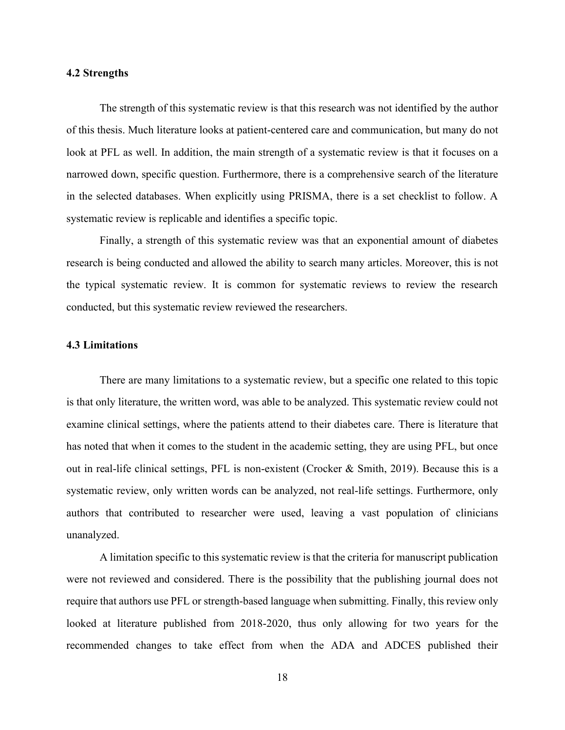#### <span id="page-30-0"></span>**4.2 Strengths**

The strength of this systematic review is that this research was not identified by the author of this thesis. Much literature looks at patient-centered care and communication, but many do not look at PFL as well. In addition, the main strength of a systematic review is that it focuses on a narrowed down, specific question. Furthermore, there is a comprehensive search of the literature in the selected databases. When explicitly using PRISMA, there is a set checklist to follow. A systematic review is replicable and identifies a specific topic.

Finally, a strength of this systematic review was that an exponential amount of diabetes research is being conducted and allowed the ability to search many articles. Moreover, this is not the typical systematic review. It is common for systematic reviews to review the research conducted, but this systematic review reviewed the researchers.

#### <span id="page-30-1"></span>**4.3 Limitations**

There are many limitations to a systematic review, but a specific one related to this topic is that only literature, the written word, was able to be analyzed. This systematic review could not examine clinical settings, where the patients attend to their diabetes care. There is literature that has noted that when it comes to the student in the academic setting, they are using PFL, but once out in real-life clinical settings, PFL is non-existent (Crocker & Smith, 2019). Because this is a systematic review, only written words can be analyzed, not real-life settings. Furthermore, only authors that contributed to researcher were used, leaving a vast population of clinicians unanalyzed.

A limitation specific to this systematic review is that the criteria for manuscript publication were not reviewed and considered. There is the possibility that the publishing journal does not require that authors use PFL or strength-based language when submitting. Finally, this review only looked at literature published from 2018-2020, thus only allowing for two years for the recommended changes to take effect from when the ADA and ADCES published their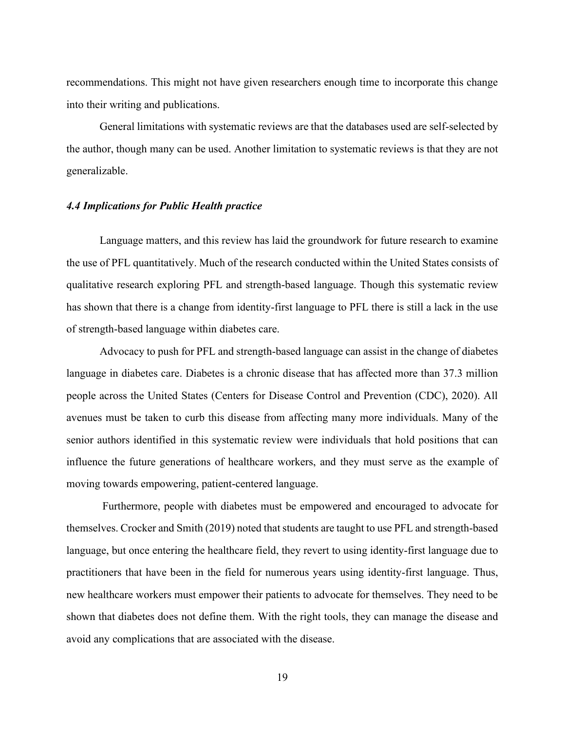recommendations. This might not have given researchers enough time to incorporate this change into their writing and publications.

General limitations with systematic reviews are that the databases used are self-selected by the author, though many can be used. Another limitation to systematic reviews is that they are not generalizable.

#### <span id="page-31-0"></span>*4.4 Implications for Public Health practice*

Language matters, and this review has laid the groundwork for future research to examine the use of PFL quantitatively. Much of the research conducted within the United States consists of qualitative research exploring PFL and strength-based language. Though this systematic review has shown that there is a change from identity-first language to PFL there is still a lack in the use of strength-based language within diabetes care.

Advocacy to push for PFL and strength-based language can assist in the change of diabetes language in diabetes care. Diabetes is a chronic disease that has affected more than 37.3 million people across the United States (Centers for Disease Control and Prevention (CDC), 2020). All avenues must be taken to curb this disease from affecting many more individuals. Many of the senior authors identified in this systematic review were individuals that hold positions that can influence the future generations of healthcare workers, and they must serve as the example of moving towards empowering, patient-centered language.

Furthermore, people with diabetes must be empowered and encouraged to advocate for themselves. Crocker and Smith (2019) noted that students are taught to use PFL and strength-based language, but once entering the healthcare field, they revert to using identity-first language due to practitioners that have been in the field for numerous years using identity-first language. Thus, new healthcare workers must empower their patients to advocate for themselves. They need to be shown that diabetes does not define them. With the right tools, they can manage the disease and avoid any complications that are associated with the disease.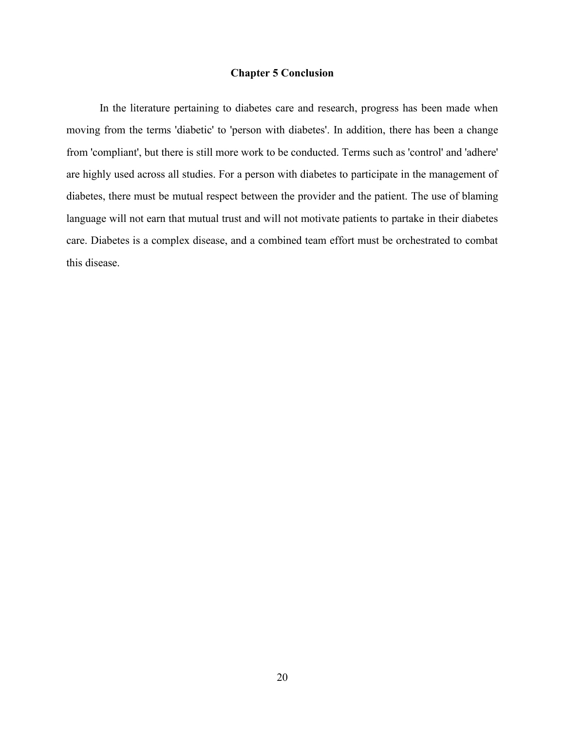#### **Chapter 5 Conclusion**

<span id="page-32-0"></span>In the literature pertaining to diabetes care and research, progress has been made when moving from the terms 'diabetic' to 'person with diabetes'. In addition, there has been a change from 'compliant', but there is still more work to be conducted. Terms such as 'control' and 'adhere' are highly used across all studies. For a person with diabetes to participate in the management of diabetes, there must be mutual respect between the provider and the patient. The use of blaming language will not earn that mutual trust and will not motivate patients to partake in their diabetes care. Diabetes is a complex disease, and a combined team effort must be orchestrated to combat this disease.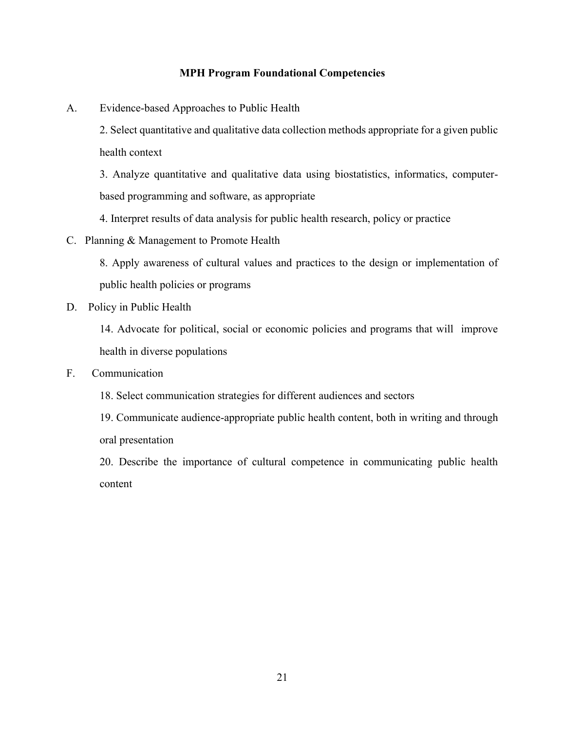#### **MPH Program Foundational Competencies**

- <span id="page-33-0"></span>A. Evidence-based Approaches to Public Health
	- 2. Select quantitative and qualitative data collection methods appropriate for a given public health context

3. Analyze quantitative and qualitative data using biostatistics, informatics, computerbased programming and software, as appropriate

- 4. Interpret results of data analysis for public health research, policy or practice
- C. Planning & Management to Promote Health

8. Apply awareness of cultural values and practices to the design or implementation of public health policies or programs

D. Policy in Public Health

14. Advocate for political, social or economic policies and programs that will improve health in diverse populations

- F. Communication
	- 18. Select communication strategies for different audiences and sectors

19. Communicate audience-appropriate public health content, both in writing and through oral presentation

20. Describe the importance of cultural competence in communicating public health content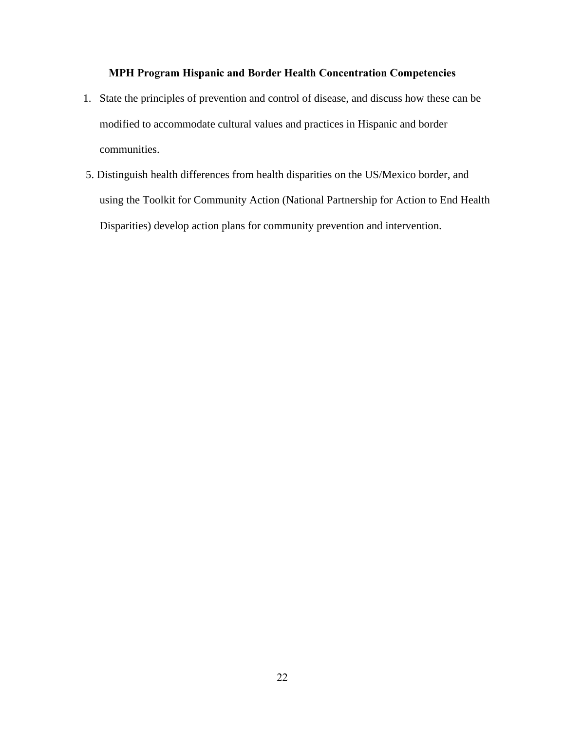### **MPH Program Hispanic and Border Health Concentration Competencies**

- <span id="page-34-0"></span>1. State the principles of prevention and control of disease, and discuss how these can be modified to accommodate cultural values and practices in Hispanic and border communities.
- 5. Distinguish health differences from health disparities on the US/Mexico border, and using the Toolkit for Community Action (National Partnership for Action to End Health Disparities) develop action plans for community prevention and intervention.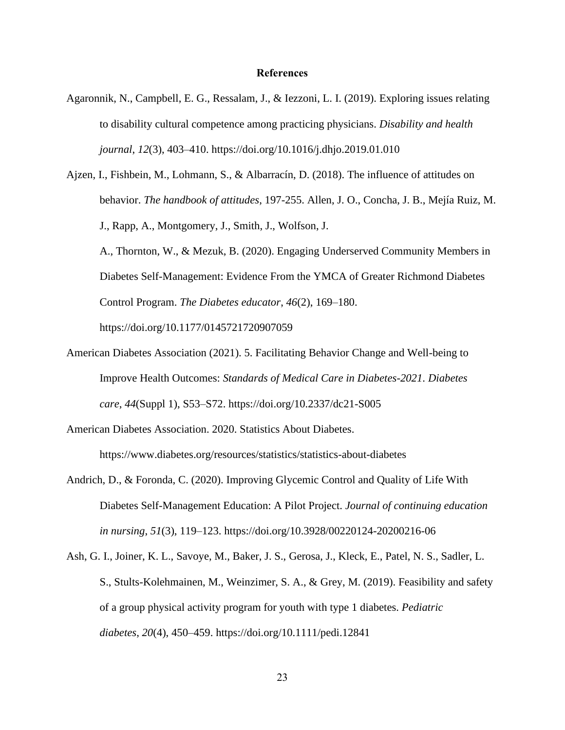#### **References**

- <span id="page-35-0"></span>Agaronnik, N., Campbell, E. G., Ressalam, J., & Iezzoni, L. I. (2019). Exploring issues relating to disability cultural competence among practicing physicians. *Disability and health journal*, *12*(3), 403–410. https://doi.org/10.1016/j.dhjo.2019.01.010
- Ajzen, I., Fishbein, M., Lohmann, S., & Albarracín, D. (2018). The influence of attitudes on behavior. *The handbook of attitudes*, 197-255. Allen, J. O., Concha, J. B., Mejía Ruiz, M. J., Rapp, A., Montgomery, J., Smith, J., Wolfson, J. A., Thornton, W., & Mezuk, B. (2020). Engaging Underserved Community Members in Diabetes Self-Management: Evidence From the YMCA of Greater Richmond Diabetes Control Program. *The Diabetes educator*, *46*(2), 169–180. https://doi.org/10.1177/0145721720907059
- American Diabetes Association (2021). 5. Facilitating Behavior Change and Well-being to Improve Health Outcomes: *Standards of Medical Care in Diabetes-2021*. *Diabetes care*, *44*(Suppl 1), S53–S72. https://doi.org/10.2337/dc21-S005
- American Diabetes Association. 2020. Statistics About Diabetes. https://www.diabetes.org/resources/statistics/statistics-about-diabetes
- Andrich, D., & Foronda, C. (2020). Improving Glycemic Control and Quality of Life With Diabetes Self-Management Education: A Pilot Project. *Journal of continuing education in nursing*, *51*(3), 119–123. https://doi.org/10.3928/00220124-20200216-06
- Ash, G. I., Joiner, K. L., Savoye, M., Baker, J. S., Gerosa, J., Kleck, E., Patel, N. S., Sadler, L. S., Stults-Kolehmainen, M., Weinzimer, S. A., & Grey, M. (2019). Feasibility and safety of a group physical activity program for youth with type 1 diabetes. *Pediatric diabetes*, *20*(4), 450–459. https://doi.org/10.1111/pedi.12841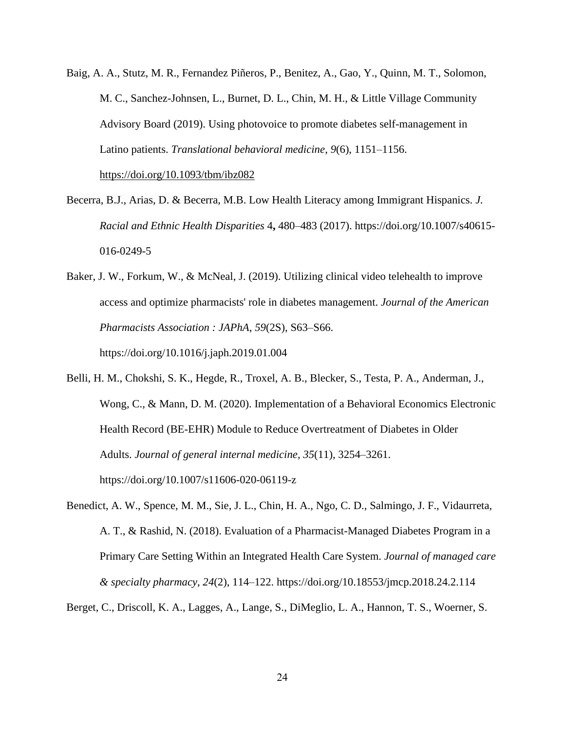- Baig, A. A., Stutz, M. R., Fernandez Piñeros, P., Benitez, A., Gao, Y., Quinn, M. T., Solomon, M. C., Sanchez-Johnsen, L., Burnet, D. L., Chin, M. H., & Little Village Community Advisory Board (2019). Using photovoice to promote diabetes self-management in Latino patients. *Translational behavioral medicine*, *9*(6), 1151–1156. https://doi.org/10.1093/tbm/ibz082
- Becerra, B.J., Arias, D. & Becerra, M.B. Low Health Literacy among Immigrant Hispanics. *J. Racial and Ethnic Health Disparities* 4**,** 480–483 (2017). https://doi.org/10.1007/s40615- 016-0249-5
- Baker, J. W., Forkum, W., & McNeal, J. (2019). Utilizing clinical video telehealth to improve access and optimize pharmacists' role in diabetes management. *Journal of the American Pharmacists Association : JAPhA*, *59*(2S), S63–S66. https://doi.org/10.1016/j.japh.2019.01.004
- Belli, H. M., Chokshi, S. K., Hegde, R., Troxel, A. B., Blecker, S., Testa, P. A., Anderman, J., Wong, C., & Mann, D. M. (2020). Implementation of a Behavioral Economics Electronic Health Record (BE-EHR) Module to Reduce Overtreatment of Diabetes in Older Adults. *Journal of general internal medicine*, *35*(11), 3254–3261. https://doi.org/10.1007/s11606-020-06119-z
- Benedict, A. W., Spence, M. M., Sie, J. L., Chin, H. A., Ngo, C. D., Salmingo, J. F., Vidaurreta, A. T., & Rashid, N. (2018). Evaluation of a Pharmacist-Managed Diabetes Program in a Primary Care Setting Within an Integrated Health Care System. *Journal of managed care & specialty pharmacy*, *24*(2), 114–122. https://doi.org/10.18553/jmcp.2018.24.2.114
- Berget, C., Driscoll, K. A., Lagges, A., Lange, S., DiMeglio, L. A., Hannon, T. S., Woerner, S.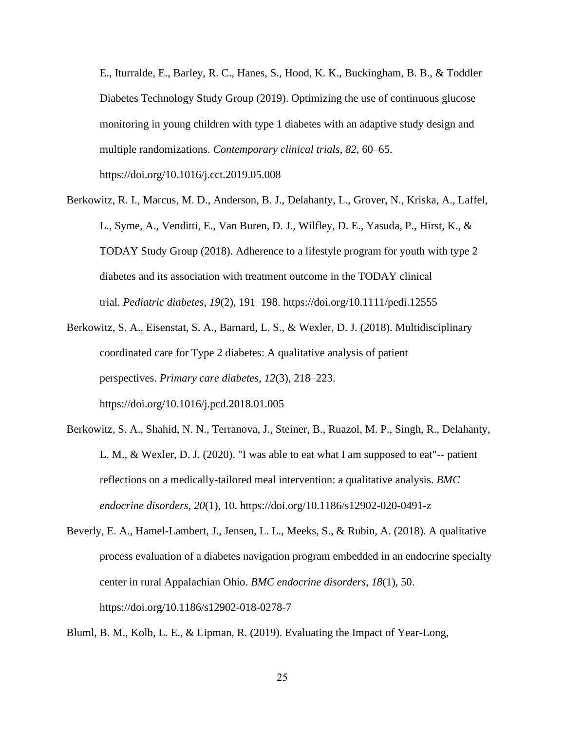E., Iturralde, E., Barley, R. C., Hanes, S., Hood, K. K., Buckingham, B. B., & Toddler Diabetes Technology Study Group (2019). Optimizing the use of continuous glucose monitoring in young children with type 1 diabetes with an adaptive study design and multiple randomizations. *Contemporary clinical trials*, *82*, 60–65.

https://doi.org/10.1016/j.cct.2019.05.008

- Berkowitz, R. I., Marcus, M. D., Anderson, B. J., Delahanty, L., Grover, N., Kriska, A., Laffel, L., Syme, A., Venditti, E., Van Buren, D. J., Wilfley, D. E., Yasuda, P., Hirst, K., & TODAY Study Group (2018). Adherence to a lifestyle program for youth with type 2 diabetes and its association with treatment outcome in the TODAY clinical trial. *Pediatric diabetes*, *19*(2), 191–198. https://doi.org/10.1111/pedi.12555
- Berkowitz, S. A., Eisenstat, S. A., Barnard, L. S., & Wexler, D. J. (2018). Multidisciplinary coordinated care for Type 2 diabetes: A qualitative analysis of patient perspectives. *Primary care diabetes*, *12*(3), 218–223. https://doi.org/10.1016/j.pcd.2018.01.005
- Berkowitz, S. A., Shahid, N. N., Terranova, J., Steiner, B., Ruazol, M. P., Singh, R., Delahanty, L. M., & Wexler, D. J. (2020). "I was able to eat what I am supposed to eat"-- patient reflections on a medically-tailored meal intervention: a qualitative analysis. *BMC endocrine disorders*, *20*(1), 10. https://doi.org/10.1186/s12902-020-0491-z
- Beverly, E. A., Hamel-Lambert, J., Jensen, L. L., Meeks, S., & Rubin, A. (2018). A qualitative process evaluation of a diabetes navigation program embedded in an endocrine specialty center in rural Appalachian Ohio. *BMC endocrine disorders*, *18*(1), 50. https://doi.org/10.1186/s12902-018-0278-7

Bluml, B. M., Kolb, L. E., & Lipman, R. (2019). Evaluating the Impact of Year-Long,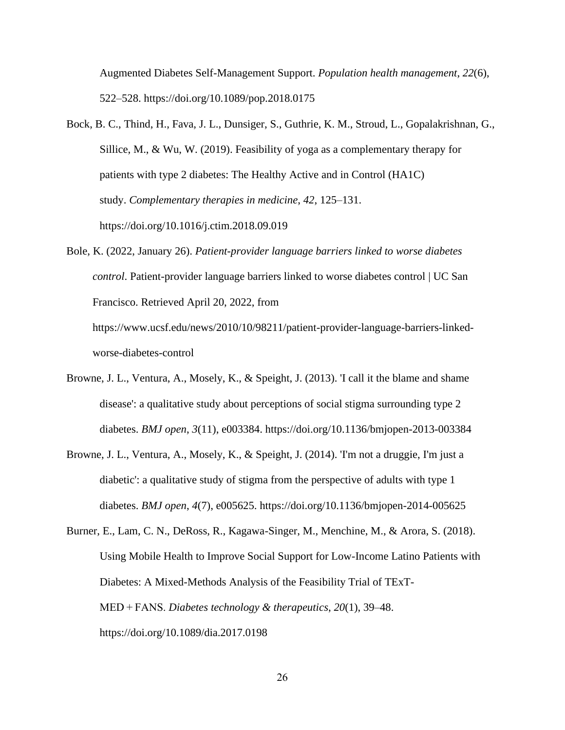Augmented Diabetes Self-Management Support. *Population health management*, *22*(6), 522–528. https://doi.org/10.1089/pop.2018.0175

- Bock, B. C., Thind, H., Fava, J. L., Dunsiger, S., Guthrie, K. M., Stroud, L., Gopalakrishnan, G., Sillice, M., & Wu, W. (2019). Feasibility of yoga as a complementary therapy for patients with type 2 diabetes: The Healthy Active and in Control (HA1C) study. *Complementary therapies in medicine*, *42*, 125–131. https://doi.org/10.1016/j.ctim.2018.09.019
- Bole, K. (2022, January 26). *Patient-provider language barriers linked to worse diabetes control*. Patient-provider language barriers linked to worse diabetes control | UC San Francisco. Retrieved April 20, 2022, from

https://www.ucsf.edu/news/2010/10/98211/patient-provider-language-barriers-linkedworse-diabetes-control

- Browne, J. L., Ventura, A., Mosely, K., & Speight, J. (2013). 'I call it the blame and shame disease': a qualitative study about perceptions of social stigma surrounding type 2 diabetes. *BMJ open*, *3*(11), e003384. https://doi.org/10.1136/bmjopen-2013-003384
- Browne, J. L., Ventura, A., Mosely, K., & Speight, J. (2014). 'I'm not a druggie, I'm just a diabetic': a qualitative study of stigma from the perspective of adults with type 1 diabetes. *BMJ open*, *4*(7), e005625. https://doi.org/10.1136/bmjopen-2014-005625
- Burner, E., Lam, C. N., DeRoss, R., Kagawa-Singer, M., Menchine, M., & Arora, S. (2018). Using Mobile Health to Improve Social Support for Low-Income Latino Patients with Diabetes: A Mixed-Methods Analysis of the Feasibility Trial of TExT-MED + FANS. *Diabetes technology & therapeutics*, *20*(1), 39–48. https://doi.org/10.1089/dia.2017.0198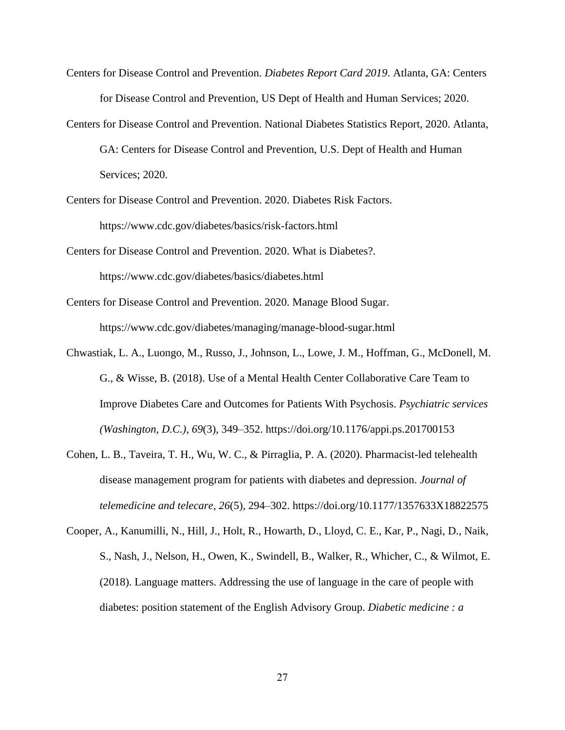- Centers for Disease Control and Prevention. *Diabetes Report Card 2019*. Atlanta, GA: Centers for Disease Control and Prevention, US Dept of Health and Human Services; 2020.
- Centers for Disease Control and Prevention. National Diabetes Statistics Report, 2020. Atlanta, GA: Centers for Disease Control and Prevention, U.S. Dept of Health and Human Services; 2020.
- Centers for Disease Control and Prevention. 2020. Diabetes Risk Factors. https://www.cdc.gov/diabetes/basics/risk-factors.html
- Centers for Disease Control and Prevention. 2020. What is Diabetes?. https://www.cdc.gov/diabetes/basics/diabetes.html
- Centers for Disease Control and Prevention. 2020. Manage Blood Sugar. https://www.cdc.gov/diabetes/managing/manage-blood-sugar.html
- Chwastiak, L. A., Luongo, M., Russo, J., Johnson, L., Lowe, J. M., Hoffman, G., McDonell, M. G., & Wisse, B. (2018). Use of a Mental Health Center Collaborative Care Team to Improve Diabetes Care and Outcomes for Patients With Psychosis. *Psychiatric services (Washington, D.C.)*, *69*(3), 349–352. https://doi.org/10.1176/appi.ps.201700153
- Cohen, L. B., Taveira, T. H., Wu, W. C., & Pirraglia, P. A. (2020). Pharmacist-led telehealth disease management program for patients with diabetes and depression. *Journal of telemedicine and telecare*, *26*(5), 294–302. https://doi.org/10.1177/1357633X18822575
- Cooper, A., Kanumilli, N., Hill, J., Holt, R., Howarth, D., Lloyd, C. E., Kar, P., Nagi, D., Naik, S., Nash, J., Nelson, H., Owen, K., Swindell, B., Walker, R., Whicher, C., & Wilmot, E. (2018). Language matters. Addressing the use of language in the care of people with diabetes: position statement of the English Advisory Group. *Diabetic medicine : a*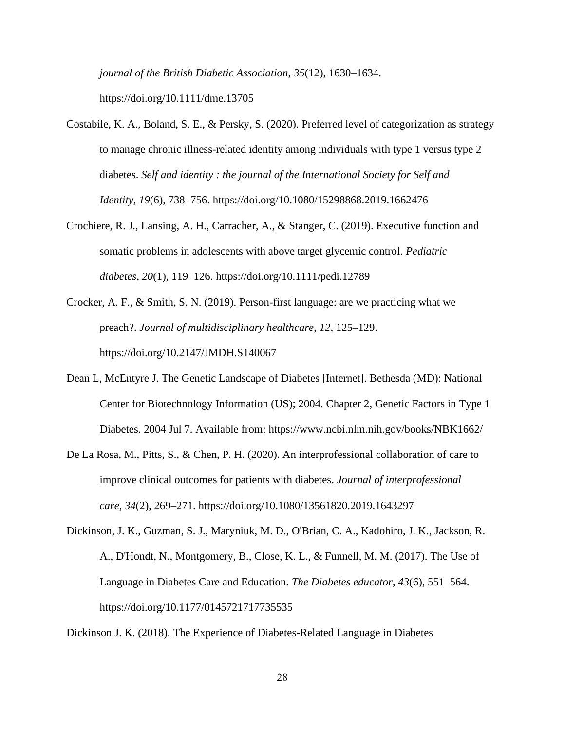*journal of the British Diabetic Association*, *35*(12), 1630–1634.

https://doi.org/10.1111/dme.13705

- Costabile, K. A., Boland, S. E., & Persky, S. (2020). Preferred level of categorization as strategy to manage chronic illness-related identity among individuals with type 1 versus type 2 diabetes. *Self and identity : the journal of the International Society for Self and Identity*, *19*(6), 738–756. https://doi.org/10.1080/15298868.2019.1662476
- Crochiere, R. J., Lansing, A. H., Carracher, A., & Stanger, C. (2019). Executive function and somatic problems in adolescents with above target glycemic control. *Pediatric diabetes*, *20*(1), 119–126. https://doi.org/10.1111/pedi.12789
- Crocker, A. F., & Smith, S. N. (2019). Person-first language: are we practicing what we preach?. *Journal of multidisciplinary healthcare*, *12*, 125–129. https://doi.org/10.2147/JMDH.S140067
- Dean L, McEntyre J. The Genetic Landscape of Diabetes [Internet]. Bethesda (MD): National Center for Biotechnology Information (US); 2004. Chapter 2, Genetic Factors in Type 1 Diabetes. 2004 Jul 7. Available from: https://www.ncbi.nlm.nih.gov/books/NBK1662/
- De La Rosa, M., Pitts, S., & Chen, P. H. (2020). An interprofessional collaboration of care to improve clinical outcomes for patients with diabetes. *Journal of interprofessional care*, *34*(2), 269–271. https://doi.org/10.1080/13561820.2019.1643297
- Dickinson, J. K., Guzman, S. J., Maryniuk, M. D., O'Brian, C. A., Kadohiro, J. K., Jackson, R. A., D'Hondt, N., Montgomery, B., Close, K. L., & Funnell, M. M. (2017). The Use of Language in Diabetes Care and Education. *The Diabetes educator*, *43*(6), 551–564. https://doi.org/10.1177/0145721717735535

Dickinson J. K. (2018). The Experience of Diabetes-Related Language in Diabetes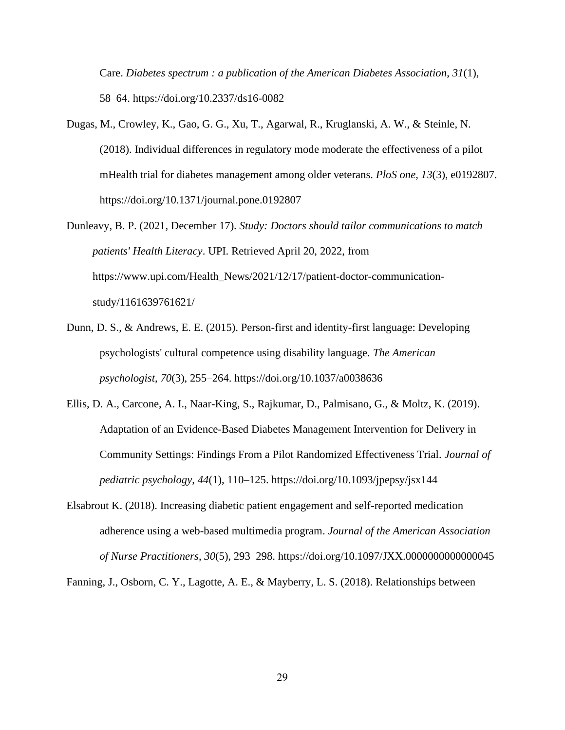Care. *Diabetes spectrum : a publication of the American Diabetes Association*, *31*(1), 58–64. https://doi.org/10.2337/ds16-0082

- Dugas, M., Crowley, K., Gao, G. G., Xu, T., Agarwal, R., Kruglanski, A. W., & Steinle, N. (2018). Individual differences in regulatory mode moderate the effectiveness of a pilot mHealth trial for diabetes management among older veterans. *PloS one*, *13*(3), e0192807. https://doi.org/10.1371/journal.pone.0192807
- Dunleavy, B. P. (2021, December 17). *Study: Doctors should tailor communications to match patients' Health Literacy*. UPI. Retrieved April 20, 2022, from https://www.upi.com/Health\_News/2021/12/17/patient-doctor-communicationstudy/1161639761621/
- Dunn, D. S., & Andrews, E. E. (2015). Person-first and identity-first language: Developing psychologists' cultural competence using disability language. *The American psychologist*, *70*(3), 255–264. https://doi.org/10.1037/a0038636
- Ellis, D. A., Carcone, A. I., Naar-King, S., Rajkumar, D., Palmisano, G., & Moltz, K. (2019). Adaptation of an Evidence-Based Diabetes Management Intervention for Delivery in Community Settings: Findings From a Pilot Randomized Effectiveness Trial. *Journal of pediatric psychology*, *44*(1), 110–125. https://doi.org/10.1093/jpepsy/jsx144
- Elsabrout K. (2018). Increasing diabetic patient engagement and self-reported medication adherence using a web-based multimedia program. *Journal of the American Association of Nurse Practitioners*, *30*(5), 293–298. https://doi.org/10.1097/JXX.0000000000000045

Fanning, J., Osborn, C. Y., Lagotte, A. E., & Mayberry, L. S. (2018). Relationships between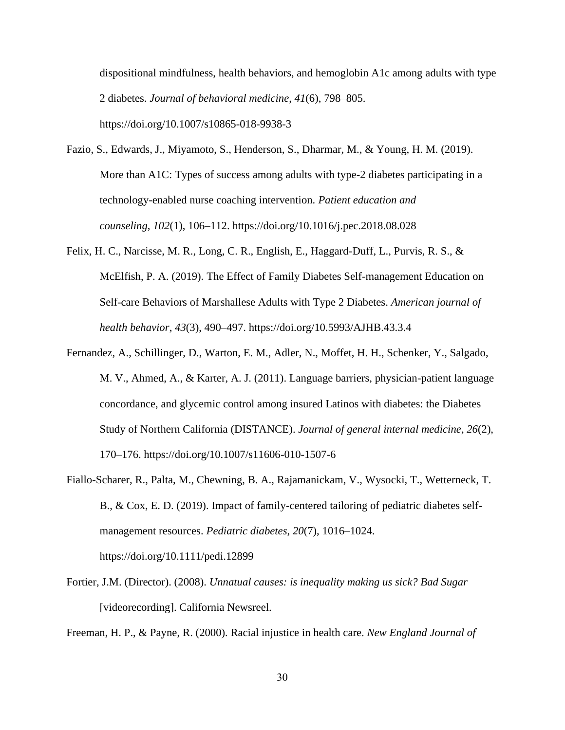dispositional mindfulness, health behaviors, and hemoglobin A1c among adults with type 2 diabetes. *Journal of behavioral medicine*, *41*(6), 798–805. https://doi.org/10.1007/s10865-018-9938-3

- Fazio, S., Edwards, J., Miyamoto, S., Henderson, S., Dharmar, M., & Young, H. M. (2019). More than A1C: Types of success among adults with type-2 diabetes participating in a technology-enabled nurse coaching intervention. *Patient education and counseling*, *102*(1), 106–112. https://doi.org/10.1016/j.pec.2018.08.028
- Felix, H. C., Narcisse, M. R., Long, C. R., English, E., Haggard-Duff, L., Purvis, R. S., & McElfish, P. A. (2019). The Effect of Family Diabetes Self-management Education on Self-care Behaviors of Marshallese Adults with Type 2 Diabetes. *American journal of health behavior*, *43*(3), 490–497. https://doi.org/10.5993/AJHB.43.3.4
- Fernandez, A., Schillinger, D., Warton, E. M., Adler, N., Moffet, H. H., Schenker, Y., Salgado, M. V., Ahmed, A., & Karter, A. J. (2011). Language barriers, physician-patient language concordance, and glycemic control among insured Latinos with diabetes: the Diabetes Study of Northern California (DISTANCE). *Journal of general internal medicine*, *26*(2), 170–176. https://doi.org/10.1007/s11606-010-1507-6
- Fiallo-Scharer, R., Palta, M., Chewning, B. A., Rajamanickam, V., Wysocki, T., Wetterneck, T. B., & Cox, E. D. (2019). Impact of family-centered tailoring of pediatric diabetes selfmanagement resources. *Pediatric diabetes*, *20*(7), 1016–1024. https://doi.org/10.1111/pedi.12899
- Fortier, J.M. (Director). (2008). *Unnatual causes: is inequality making us sick? Bad Sugar* [videorecording]. California Newsreel.

Freeman, H. P., & Payne, R. (2000). Racial injustice in health care. *New England Journal of*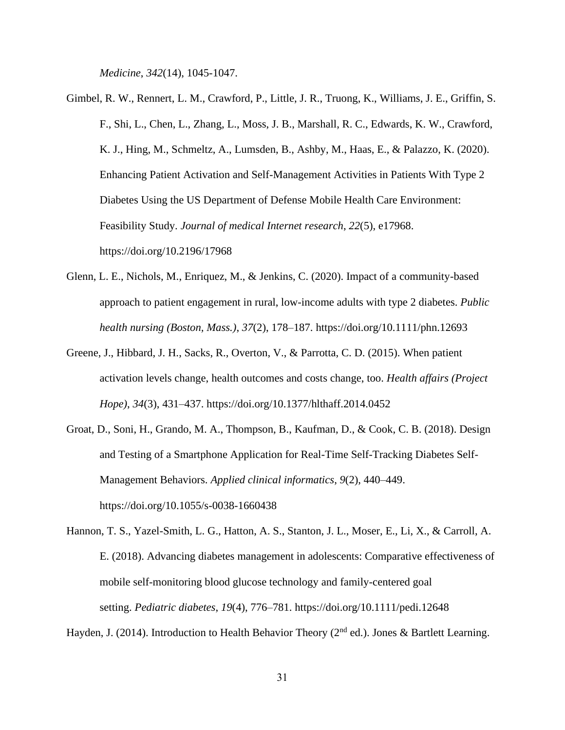*Medicine*, *342*(14), 1045-1047.

- Gimbel, R. W., Rennert, L. M., Crawford, P., Little, J. R., Truong, K., Williams, J. E., Griffin, S. F., Shi, L., Chen, L., Zhang, L., Moss, J. B., Marshall, R. C., Edwards, K. W., Crawford, K. J., Hing, M., Schmeltz, A., Lumsden, B., Ashby, M., Haas, E., & Palazzo, K. (2020). Enhancing Patient Activation and Self-Management Activities in Patients With Type 2 Diabetes Using the US Department of Defense Mobile Health Care Environment: Feasibility Study. *Journal of medical Internet research*, *22*(5), e17968. https://doi.org/10.2196/17968
- Glenn, L. E., Nichols, M., Enriquez, M., & Jenkins, C. (2020). Impact of a community-based approach to patient engagement in rural, low-income adults with type 2 diabetes. *Public health nursing (Boston, Mass.)*, *37*(2), 178–187. https://doi.org/10.1111/phn.12693
- Greene, J., Hibbard, J. H., Sacks, R., Overton, V., & Parrotta, C. D. (2015). When patient activation levels change, health outcomes and costs change, too. *Health affairs (Project Hope)*, *34*(3), 431–437. https://doi.org/10.1377/hlthaff.2014.0452
- Groat, D., Soni, H., Grando, M. A., Thompson, B., Kaufman, D., & Cook, C. B. (2018). Design and Testing of a Smartphone Application for Real-Time Self-Tracking Diabetes Self-Management Behaviors. *Applied clinical informatics*, *9*(2), 440–449. https://doi.org/10.1055/s-0038-1660438

Hannon, T. S., Yazel-Smith, L. G., Hatton, A. S., Stanton, J. L., Moser, E., Li, X., & Carroll, A. E. (2018). Advancing diabetes management in adolescents: Comparative effectiveness of mobile self-monitoring blood glucose technology and family-centered goal setting. *Pediatric diabetes*, *19*(4), 776–781. https://doi.org/10.1111/pedi.12648

Hayden, J. (2014). Introduction to Health Behavior Theory ( $2<sup>nd</sup>$  ed.). Jones & Bartlett Learning.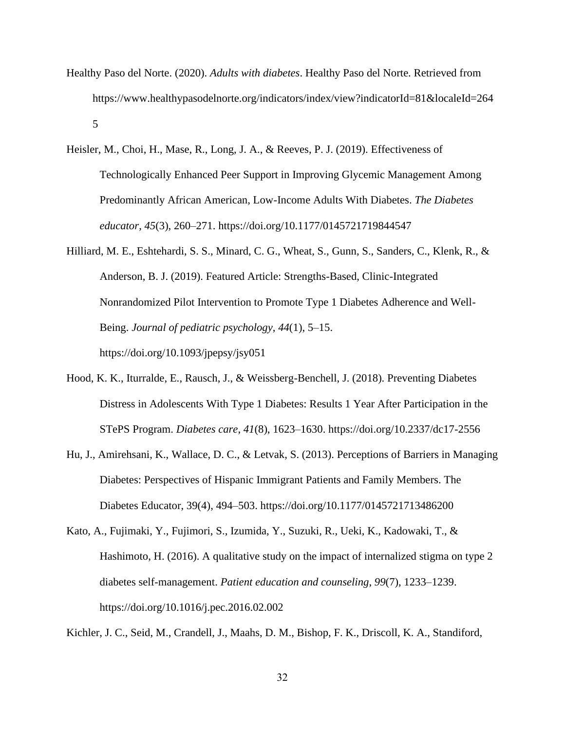- Healthy Paso del Norte. (2020). *Adults with diabetes*. Healthy Paso del Norte. Retrieved from https://www.healthypasodelnorte.org/indicators/index/view?indicatorId=81&localeId=264 5
- Heisler, M., Choi, H., Mase, R., Long, J. A., & Reeves, P. J. (2019). Effectiveness of Technologically Enhanced Peer Support in Improving Glycemic Management Among Predominantly African American, Low-Income Adults With Diabetes. *The Diabetes educator*, *45*(3), 260–271. https://doi.org/10.1177/0145721719844547
- Hilliard, M. E., Eshtehardi, S. S., Minard, C. G., Wheat, S., Gunn, S., Sanders, C., Klenk, R., & Anderson, B. J. (2019). Featured Article: Strengths-Based, Clinic-Integrated Nonrandomized Pilot Intervention to Promote Type 1 Diabetes Adherence and Well-Being. *Journal of pediatric psychology*, *44*(1), 5–15. https://doi.org/10.1093/jpepsy/jsy051
- Hood, K. K., Iturralde, E., Rausch, J., & Weissberg-Benchell, J. (2018). Preventing Diabetes Distress in Adolescents With Type 1 Diabetes: Results 1 Year After Participation in the STePS Program. *Diabetes care*, *41*(8), 1623–1630. https://doi.org/10.2337/dc17-2556
- Hu, J., Amirehsani, K., Wallace, D. C., & Letvak, S. (2013). Perceptions of Barriers in Managing Diabetes: Perspectives of Hispanic Immigrant Patients and Family Members. The Diabetes Educator, 39(4), 494–503. https://doi.org/10.1177/0145721713486200
- Kato, A., Fujimaki, Y., Fujimori, S., Izumida, Y., Suzuki, R., Ueki, K., Kadowaki, T., & Hashimoto, H. (2016). A qualitative study on the impact of internalized stigma on type 2 diabetes self-management. *Patient education and counseling*, *99*(7), 1233–1239. https://doi.org/10.1016/j.pec.2016.02.002

Kichler, J. C., Seid, M., Crandell, J., Maahs, D. M., Bishop, F. K., Driscoll, K. A., Standiford,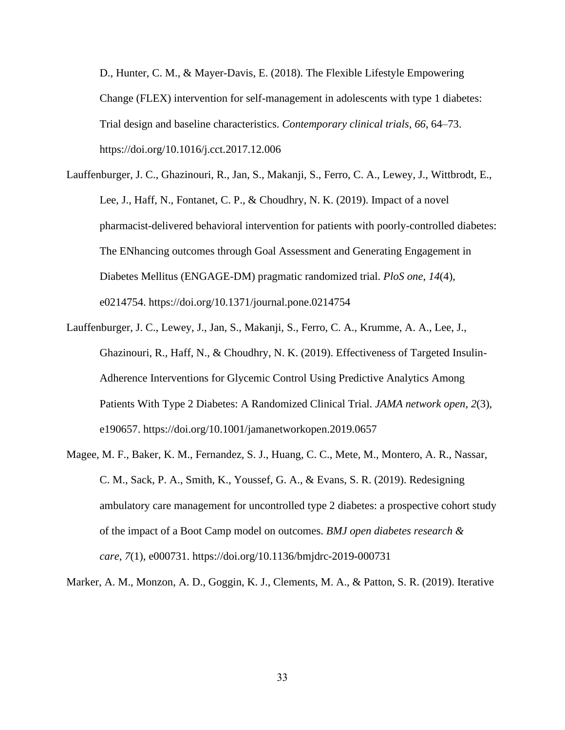D., Hunter, C. M., & Mayer-Davis, E. (2018). The Flexible Lifestyle Empowering Change (FLEX) intervention for self-management in adolescents with type 1 diabetes: Trial design and baseline characteristics. *Contemporary clinical trials*, *66*, 64–73. https://doi.org/10.1016/j.cct.2017.12.006

- Lauffenburger, J. C., Ghazinouri, R., Jan, S., Makanji, S., Ferro, C. A., Lewey, J., Wittbrodt, E., Lee, J., Haff, N., Fontanet, C. P., & Choudhry, N. K. (2019). Impact of a novel pharmacist-delivered behavioral intervention for patients with poorly-controlled diabetes: The ENhancing outcomes through Goal Assessment and Generating Engagement in Diabetes Mellitus (ENGAGE-DM) pragmatic randomized trial. *PloS one*, *14*(4), e0214754. https://doi.org/10.1371/journal.pone.0214754
- Lauffenburger, J. C., Lewey, J., Jan, S., Makanji, S., Ferro, C. A., Krumme, A. A., Lee, J., Ghazinouri, R., Haff, N., & Choudhry, N. K. (2019). Effectiveness of Targeted Insulin-Adherence Interventions for Glycemic Control Using Predictive Analytics Among Patients With Type 2 Diabetes: A Randomized Clinical Trial. *JAMA network open*, *2*(3), e190657. https://doi.org/10.1001/jamanetworkopen.2019.0657
- Magee, M. F., Baker, K. M., Fernandez, S. J., Huang, C. C., Mete, M., Montero, A. R., Nassar, C. M., Sack, P. A., Smith, K., Youssef, G. A., & Evans, S. R. (2019). Redesigning ambulatory care management for uncontrolled type 2 diabetes: a prospective cohort study of the impact of a Boot Camp model on outcomes. *BMJ open diabetes research & care*, *7*(1), e000731. https://doi.org/10.1136/bmjdrc-2019-000731

Marker, A. M., Monzon, A. D., Goggin, K. J., Clements, M. A., & Patton, S. R. (2019). Iterative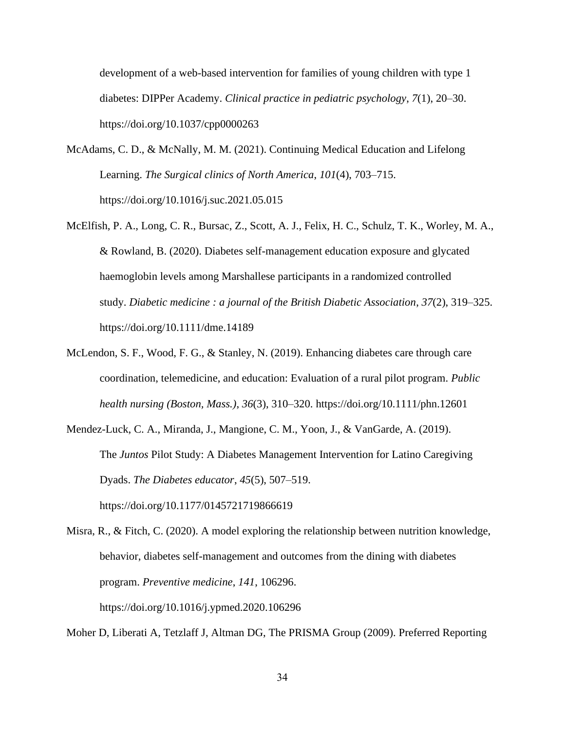development of a web-based intervention for families of young children with type 1 diabetes: DIPPer Academy. *Clinical practice in pediatric psychology*, *7*(1), 20–30. https://doi.org/10.1037/cpp0000263

- McAdams, C. D., & McNally, M. M. (2021). Continuing Medical Education and Lifelong Learning. *The Surgical clinics of North America*, *101*(4), 703–715. https://doi.org/10.1016/j.suc.2021.05.015
- McElfish, P. A., Long, C. R., Bursac, Z., Scott, A. J., Felix, H. C., Schulz, T. K., Worley, M. A., & Rowland, B. (2020). Diabetes self-management education exposure and glycated haemoglobin levels among Marshallese participants in a randomized controlled study. *Diabetic medicine : a journal of the British Diabetic Association*, *37*(2), 319–325. https://doi.org/10.1111/dme.14189
- McLendon, S. F., Wood, F. G., & Stanley, N. (2019). Enhancing diabetes care through care coordination, telemedicine, and education: Evaluation of a rural pilot program. *Public health nursing (Boston, Mass.)*, *36*(3), 310–320. https://doi.org/10.1111/phn.12601

Mendez-Luck, C. A., Miranda, J., Mangione, C. M., Yoon, J., & VanGarde, A. (2019). The *Juntos* Pilot Study: A Diabetes Management Intervention for Latino Caregiving Dyads. *The Diabetes educator*, *45*(5), 507–519. https://doi.org/10.1177/0145721719866619

Misra, R., & Fitch, C. (2020). A model exploring the relationship between nutrition knowledge, behavior, diabetes self-management and outcomes from the dining with diabetes program. *Preventive medicine*, *141*, 106296. https://doi.org/10.1016/j.ypmed.2020.106296

Moher D, Liberati A, Tetzlaff J, Altman DG, The PRISMA Group (2009). Preferred Reporting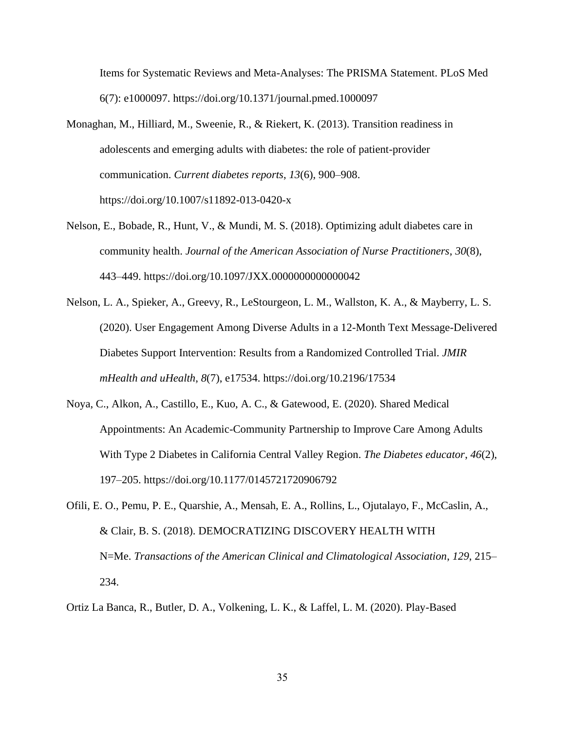Items for Systematic Reviews and Meta-Analyses: The PRISMA Statement. PLoS Med 6(7): e1000097. https://doi.org/10.1371/journal.pmed.1000097

- Monaghan, M., Hilliard, M., Sweenie, R., & Riekert, K. (2013). Transition readiness in adolescents and emerging adults with diabetes: the role of patient-provider communication. *Current diabetes reports*, *13*(6), 900–908. https://doi.org/10.1007/s11892-013-0420-x
- Nelson, E., Bobade, R., Hunt, V., & Mundi, M. S. (2018). Optimizing adult diabetes care in community health. *Journal of the American Association of Nurse Practitioners*, *30*(8), 443–449. https://doi.org/10.1097/JXX.0000000000000042
- Nelson, L. A., Spieker, A., Greevy, R., LeStourgeon, L. M., Wallston, K. A., & Mayberry, L. S. (2020). User Engagement Among Diverse Adults in a 12-Month Text Message-Delivered Diabetes Support Intervention: Results from a Randomized Controlled Trial. *JMIR mHealth and uHealth*, *8*(7), e17534. https://doi.org/10.2196/17534
- Noya, C., Alkon, A., Castillo, E., Kuo, A. C., & Gatewood, E. (2020). Shared Medical Appointments: An Academic-Community Partnership to Improve Care Among Adults With Type 2 Diabetes in California Central Valley Region. *The Diabetes educator*, *46*(2), 197–205. https://doi.org/10.1177/0145721720906792
- Ofili, E. O., Pemu, P. E., Quarshie, A., Mensah, E. A., Rollins, L., Ojutalayo, F., McCaslin, A., & Clair, B. S. (2018). DEMOCRATIZING DISCOVERY HEALTH WITH N=Me. *Transactions of the American Clinical and Climatological Association*, *129*, 215– 234.
- Ortiz La Banca, R., Butler, D. A., Volkening, L. K., & Laffel, L. M. (2020). Play-Based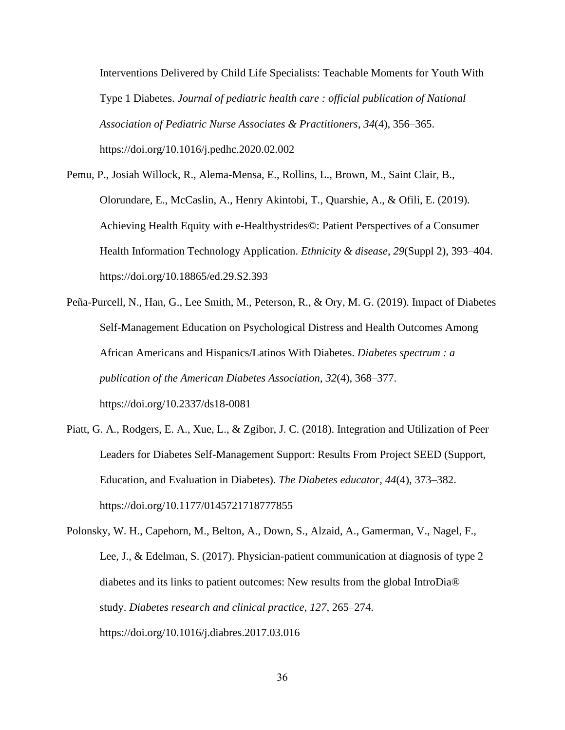Interventions Delivered by Child Life Specialists: Teachable Moments for Youth With Type 1 Diabetes. *Journal of pediatric health care : official publication of National Association of Pediatric Nurse Associates & Practitioners*, *34*(4), 356–365. https://doi.org/10.1016/j.pedhc.2020.02.002

Pemu, P., Josiah Willock, R., Alema-Mensa, E., Rollins, L., Brown, M., Saint Clair, B., Olorundare, E., McCaslin, A., Henry Akintobi, T., Quarshie, A., & Ofili, E. (2019). Achieving Health Equity with e-Healthystrides©: Patient Perspectives of a Consumer Health Information Technology Application. *Ethnicity & disease*, *29*(Suppl 2), 393–404. https://doi.org/10.18865/ed.29.S2.393

Peña-Purcell, N., Han, G., Lee Smith, M., Peterson, R., & Ory, M. G. (2019). Impact of Diabetes Self-Management Education on Psychological Distress and Health Outcomes Among African Americans and Hispanics/Latinos With Diabetes. *Diabetes spectrum : a publication of the American Diabetes Association*, *32*(4), 368–377. https://doi.org/10.2337/ds18-0081

Piatt, G. A., Rodgers, E. A., Xue, L., & Zgibor, J. C. (2018). Integration and Utilization of Peer Leaders for Diabetes Self-Management Support: Results From Project SEED (Support, Education, and Evaluation in Diabetes). *The Diabetes educator*, *44*(4), 373–382. https://doi.org/10.1177/0145721718777855

Polonsky, W. H., Capehorn, M., Belton, A., Down, S., Alzaid, A., Gamerman, V., Nagel, F., Lee, J., & Edelman, S. (2017). Physician-patient communication at diagnosis of type 2 diabetes and its links to patient outcomes: New results from the global IntroDia® study. *Diabetes research and clinical practice*, *127*, 265–274. https://doi.org/10.1016/j.diabres.2017.03.016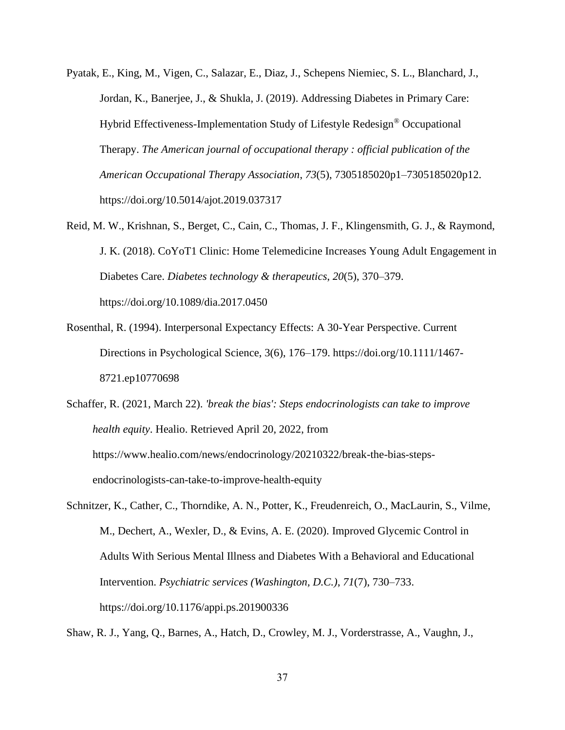- Pyatak, E., King, M., Vigen, C., Salazar, E., Diaz, J., Schepens Niemiec, S. L., Blanchard, J., Jordan, K., Banerjee, J., & Shukla, J. (2019). Addressing Diabetes in Primary Care: Hybrid Effectiveness-Implementation Study of Lifestyle Redesign® Occupational Therapy. *The American journal of occupational therapy : official publication of the American Occupational Therapy Association*, *73*(5), 7305185020p1–7305185020p12. https://doi.org/10.5014/ajot.2019.037317
- Reid, M. W., Krishnan, S., Berget, C., Cain, C., Thomas, J. F., Klingensmith, G. J., & Raymond, J. K. (2018). CoYoT1 Clinic: Home Telemedicine Increases Young Adult Engagement in Diabetes Care. *Diabetes technology & therapeutics*, *20*(5), 370–379. https://doi.org/10.1089/dia.2017.0450
- Rosenthal, R. (1994). Interpersonal Expectancy Effects: A 30-Year Perspective. Current Directions in Psychological Science, 3(6), 176–179. https://doi.org/10.1111/1467- 8721.ep10770698
- Schaffer, R. (2021, March 22). *'break the bias': Steps endocrinologists can take to improve health equity*. Healio. Retrieved April 20, 2022, from https://www.healio.com/news/endocrinology/20210322/break-the-bias-stepsendocrinologists-can-take-to-improve-health-equity
- Schnitzer, K., Cather, C., Thorndike, A. N., Potter, K., Freudenreich, O., MacLaurin, S., Vilme, M., Dechert, A., Wexler, D., & Evins, A. E. (2020). Improved Glycemic Control in Adults With Serious Mental Illness and Diabetes With a Behavioral and Educational Intervention. *Psychiatric services (Washington, D.C.)*, *71*(7), 730–733. https://doi.org/10.1176/appi.ps.201900336

Shaw, R. J., Yang, Q., Barnes, A., Hatch, D., Crowley, M. J., Vorderstrasse, A., Vaughn, J.,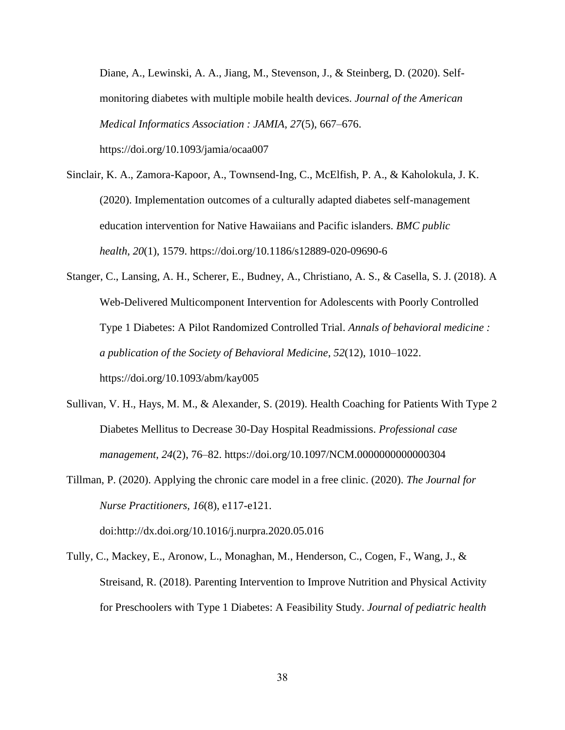Diane, A., Lewinski, A. A., Jiang, M., Stevenson, J., & Steinberg, D. (2020). Selfmonitoring diabetes with multiple mobile health devices. *Journal of the American Medical Informatics Association : JAMIA*, *27*(5), 667–676. https://doi.org/10.1093/jamia/ocaa007

Sinclair, K. A., Zamora-Kapoor, A., Townsend-Ing, C., McElfish, P. A., & Kaholokula, J. K. (2020). Implementation outcomes of a culturally adapted diabetes self-management education intervention for Native Hawaiians and Pacific islanders. *BMC public health*, *20*(1), 1579. https://doi.org/10.1186/s12889-020-09690-6

Stanger, C., Lansing, A. H., Scherer, E., Budney, A., Christiano, A. S., & Casella, S. J. (2018). A Web-Delivered Multicomponent Intervention for Adolescents with Poorly Controlled Type 1 Diabetes: A Pilot Randomized Controlled Trial. *Annals of behavioral medicine : a publication of the Society of Behavioral Medicine*, *52*(12), 1010–1022. https://doi.org/10.1093/abm/kay005

- Sullivan, V. H., Hays, M. M., & Alexander, S. (2019). Health Coaching for Patients With Type 2 Diabetes Mellitus to Decrease 30-Day Hospital Readmissions. *Professional case management*, *24*(2), 76–82. https://doi.org/10.1097/NCM.0000000000000304
- Tillman, P. (2020). Applying the chronic care model in a free clinic. (2020). *The Journal for Nurse Practitioners, 16*(8), e117-e121. doi:http://dx.doi.org/10.1016/j.nurpra.2020.05.016

Tully, C., Mackey, E., Aronow, L., Monaghan, M., Henderson, C., Cogen, F., Wang, J., & Streisand, R. (2018). Parenting Intervention to Improve Nutrition and Physical Activity for Preschoolers with Type 1 Diabetes: A Feasibility Study. *Journal of pediatric health*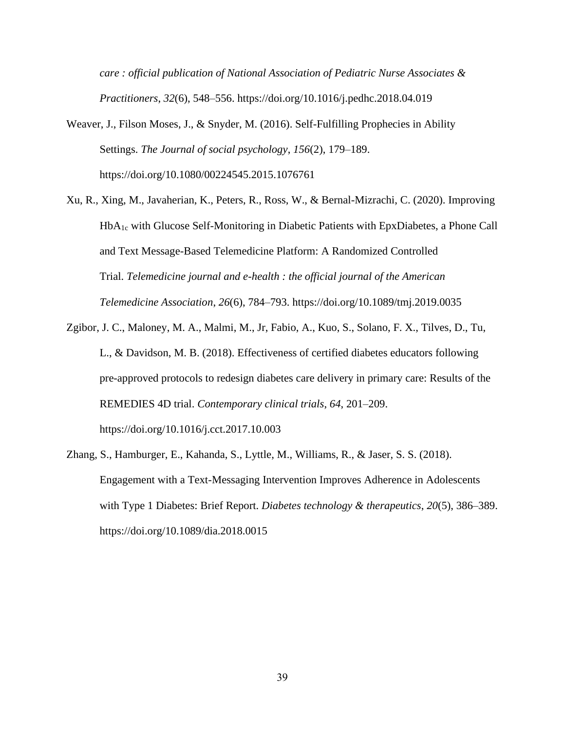*care : official publication of National Association of Pediatric Nurse Associates & Practitioners*, *32*(6), 548–556. https://doi.org/10.1016/j.pedhc.2018.04.019

- Weaver, J., Filson Moses, J., & Snyder, M. (2016). Self-Fulfilling Prophecies in Ability Settings. *The Journal of social psychology*, *156*(2), 179–189. https://doi.org/10.1080/00224545.2015.1076761
- Xu, R., Xing, M., Javaherian, K., Peters, R., Ross, W., & Bernal-Mizrachi, C. (2020). Improving HbA1c with Glucose Self-Monitoring in Diabetic Patients with EpxDiabetes, a Phone Call and Text Message-Based Telemedicine Platform: A Randomized Controlled Trial. *Telemedicine journal and e-health : the official journal of the American Telemedicine Association*, *26*(6), 784–793. https://doi.org/10.1089/tmj.2019.0035
- Zgibor, J. C., Maloney, M. A., Malmi, M., Jr, Fabio, A., Kuo, S., Solano, F. X., Tilves, D., Tu, L., & Davidson, M. B. (2018). Effectiveness of certified diabetes educators following pre-approved protocols to redesign diabetes care delivery in primary care: Results of the REMEDIES 4D trial. *Contemporary clinical trials*, *64*, 201–209. https://doi.org/10.1016/j.cct.2017.10.003
- Zhang, S., Hamburger, E., Kahanda, S., Lyttle, M., Williams, R., & Jaser, S. S. (2018). Engagement with a Text-Messaging Intervention Improves Adherence in Adolescents with Type 1 Diabetes: Brief Report. *Diabetes technology & therapeutics*, *20*(5), 386–389. https://doi.org/10.1089/dia.2018.0015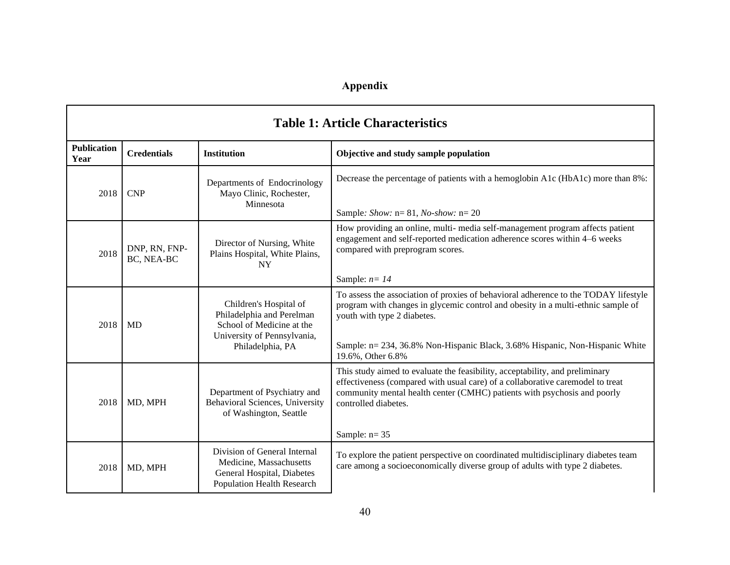## **Appendix**

<span id="page-52-0"></span>

| <b>Table 1: Article Characteristics</b> |                             |                                                                                                                                     |                                                                                                                                                                                                                                                                                                             |
|-----------------------------------------|-----------------------------|-------------------------------------------------------------------------------------------------------------------------------------|-------------------------------------------------------------------------------------------------------------------------------------------------------------------------------------------------------------------------------------------------------------------------------------------------------------|
| <b>Publication</b><br>Year              | <b>Credentials</b>          | <b>Institution</b>                                                                                                                  | Objective and study sample population                                                                                                                                                                                                                                                                       |
| 2018                                    | <b>CNP</b>                  | Departments of Endocrinology<br>Mayo Clinic, Rochester,<br>Minnesota                                                                | Decrease the percentage of patients with a hemoglobin A1c (HbA1c) more than 8%:<br>Sample: Show: $n = 81$ , No-show: $n = 20$                                                                                                                                                                               |
| 2018                                    | DNP, RN, FNP-<br>BC, NEA-BC | Director of Nursing, White<br>Plains Hospital, White Plains,<br><b>NY</b>                                                           | How providing an online, multi- media self-management program affects patient<br>engagement and self-reported medication adherence scores within 4-6 weeks<br>compared with preprogram scores.                                                                                                              |
|                                         |                             |                                                                                                                                     | Sample: $n = 14$                                                                                                                                                                                                                                                                                            |
| 2018                                    | <b>MD</b>                   | Children's Hospital of<br>Philadelphia and Perelman<br>School of Medicine at the<br>University of Pennsylvania,<br>Philadelphia, PA | To assess the association of proxies of behavioral adherence to the TODAY lifestyle<br>program with changes in glycemic control and obesity in a multi-ethnic sample of<br>youth with type 2 diabetes.<br>Sample: n= 234, 36.8% Non-Hispanic Black, 3.68% Hispanic, Non-Hispanic White<br>19.6%, Other 6.8% |
| 2018                                    | MD, MPH                     | Department of Psychiatry and<br>Behavioral Sciences, University<br>of Washington, Seattle                                           | This study aimed to evaluate the feasibility, acceptability, and preliminary<br>effectiveness (compared with usual care) of a collaborative caremodel to treat<br>community mental health center (CMHC) patients with psychosis and poorly<br>controlled diabetes.<br>Sample: $n=35$                        |
| 2018                                    | MD, MPH                     | Division of General Internal<br>Medicine, Massachusetts<br>General Hospital, Diabetes<br><b>Population Health Research</b>          | To explore the patient perspective on coordinated multidisciplinary diabetes team<br>care among a socioeconomically diverse group of adults with type 2 diabetes.                                                                                                                                           |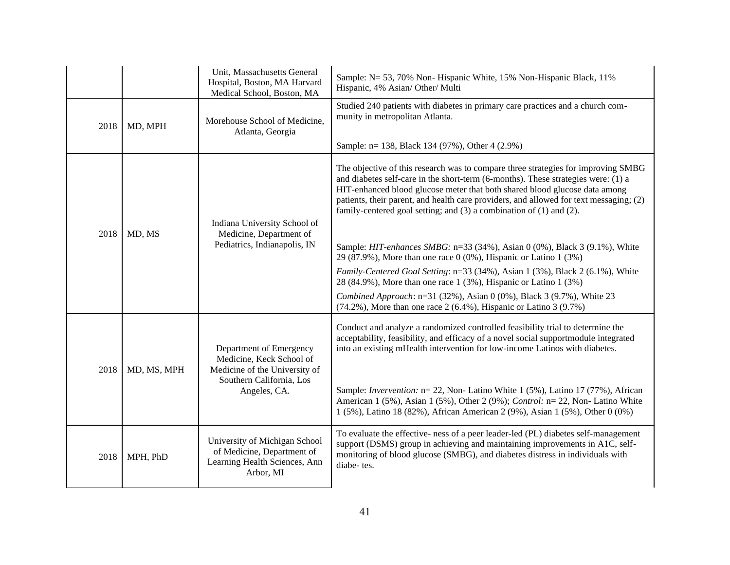|      |             | Unit, Massachusetts General<br>Hospital, Boston, MA Harvard<br>Medical School, Boston, MA                                        | Sample: N= 53, 70% Non- Hispanic White, 15% Non-Hispanic Black, 11%<br>Hispanic, 4% Asian/ Other/ Multi                                                                                                                                                                                                                                                                                                                                                                                                          |
|------|-------------|----------------------------------------------------------------------------------------------------------------------------------|------------------------------------------------------------------------------------------------------------------------------------------------------------------------------------------------------------------------------------------------------------------------------------------------------------------------------------------------------------------------------------------------------------------------------------------------------------------------------------------------------------------|
| 2018 | MD, MPH     | Morehouse School of Medicine,<br>Atlanta, Georgia                                                                                | Studied 240 patients with diabetes in primary care practices and a church com-<br>munity in metropolitan Atlanta.                                                                                                                                                                                                                                                                                                                                                                                                |
|      |             |                                                                                                                                  | Sample: n= 138, Black 134 (97%), Other 4 (2.9%)                                                                                                                                                                                                                                                                                                                                                                                                                                                                  |
|      |             | Indiana University School of                                                                                                     | The objective of this research was to compare three strategies for improving SMBG<br>and diabetes self-care in the short-term (6-months). These strategies were: (1) a<br>HIT-enhanced blood glucose meter that both shared blood glucose data among<br>patients, their parent, and health care providers, and allowed for text messaging; (2)<br>family-centered goal setting; and $(3)$ a combination of $(1)$ and $(2)$ .                                                                                     |
| 2018 | MD, MS      | Medicine, Department of<br>Pediatrics, Indianapolis, IN                                                                          | Sample: HIT-enhances SMBG: n=33 (34%), Asian 0 (0%), Black 3 (9.1%), White<br>29 (87.9%), More than one race $0$ (0%), Hispanic or Latino 1 (3%)                                                                                                                                                                                                                                                                                                                                                                 |
|      |             |                                                                                                                                  | Family-Centered Goal Setting: n=33 (34%), Asian 1 (3%), Black 2 (6.1%), White<br>28 (84.9%), More than one race 1 (3%), Hispanic or Latino 1 (3%)                                                                                                                                                                                                                                                                                                                                                                |
|      |             |                                                                                                                                  | Combined Approach: n=31 (32%), Asian 0 (0%), Black 3 (9.7%), White 23<br>$(74.2\%)$ , More than one race 2 (6.4%), Hispanic or Latino 3 (9.7%)                                                                                                                                                                                                                                                                                                                                                                   |
| 2018 | MD, MS, MPH | Department of Emergency<br>Medicine, Keck School of<br>Medicine of the University of<br>Southern California, Los<br>Angeles, CA. | Conduct and analyze a randomized controlled feasibility trial to determine the<br>acceptability, feasibility, and efficacy of a novel social supportmodule integrated<br>into an existing mHealth intervention for low-income Latinos with diabetes.<br>Sample: <i>Invervention</i> : n= 22, Non- Latino White 1 (5%), Latino 17 (77%), African<br>American 1 (5%), Asian 1 (5%), Other 2 (9%); Control: n= 22, Non-Latino White<br>1 (5%), Latino 18 (82%), African American 2 (9%), Asian 1 (5%), Other 0 (0%) |
|      |             |                                                                                                                                  |                                                                                                                                                                                                                                                                                                                                                                                                                                                                                                                  |
| 2018 | MPH, PhD    | University of Michigan School<br>of Medicine, Department of<br>Learning Health Sciences, Ann<br>Arbor, MI                        | To evaluate the effective- ness of a peer leader-led (PL) diabetes self-management<br>support (DSMS) group in achieving and maintaining improvements in A1C, self-<br>monitoring of blood glucose (SMBG), and diabetes distress in individuals with<br>diabe-tes.                                                                                                                                                                                                                                                |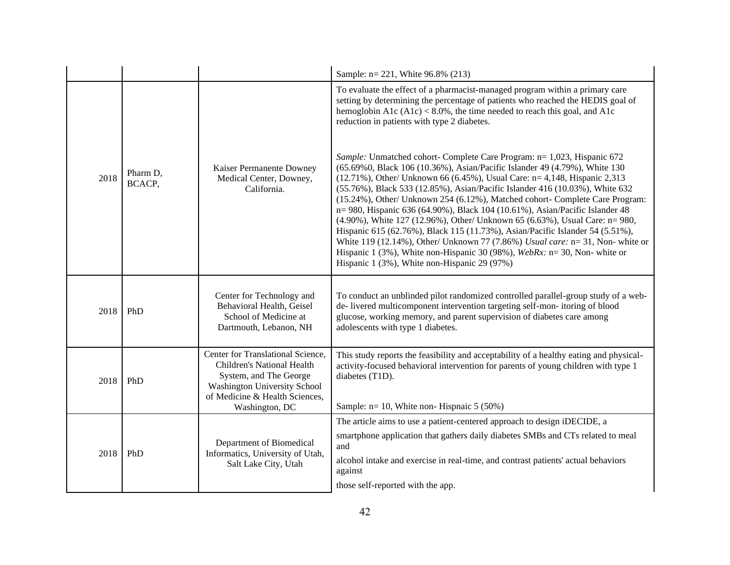|      |                    |                                                                                                                                                                                      | Sample: n= 221, White 96.8% (213)                                                                                                                                                                                                                                                                                                                                                                                                                                                                                                                                                                                                                                                                                                                                                                                                                                    |                                                                          |
|------|--------------------|--------------------------------------------------------------------------------------------------------------------------------------------------------------------------------------|----------------------------------------------------------------------------------------------------------------------------------------------------------------------------------------------------------------------------------------------------------------------------------------------------------------------------------------------------------------------------------------------------------------------------------------------------------------------------------------------------------------------------------------------------------------------------------------------------------------------------------------------------------------------------------------------------------------------------------------------------------------------------------------------------------------------------------------------------------------------|--------------------------------------------------------------------------|
|      |                    |                                                                                                                                                                                      | To evaluate the effect of a pharmacist-managed program within a primary care<br>setting by determining the percentage of patients who reached the HEDIS goal of<br>hemoglobin A1c $(A1c) < 8.0\%$ , the time needed to reach this goal, and A1c<br>reduction in patients with type 2 diabetes.                                                                                                                                                                                                                                                                                                                                                                                                                                                                                                                                                                       |                                                                          |
| 2018 | Pharm D,<br>BCACP, | Kaiser Permanente Downey<br>Medical Center, Downey,<br>California.                                                                                                                   | Sample: Unmatched cohort- Complete Care Program: n= 1,023, Hispanic 672<br>(65.69%0, Black 106 (10.36%), Asian/Pacific Islander 49 (4.79%), White 130<br>(12.71%), Other/ Unknown 66 (6.45%), Usual Care: n= 4,148, Hispanic 2,313<br>(55.76%), Black 533 (12.85%), Asian/Pacific Islander 416 (10.03%), White 632<br>(15.24%), Other/ Unknown 254 (6.12%), Matched cohort- Complete Care Program:<br>n= 980, Hispanic 636 (64.90%), Black 104 (10.61%), Asian/Pacific Islander 48<br>(4.90%), White 127 (12.96%), Other/ Unknown 65 (6.63%), Usual Care: n= 980,<br>Hispanic 615 (62.76%), Black 115 (11.73%), Asian/Pacific Islander 54 (5.51%),<br>White 119 (12.14%), Other/ Unknown 77 (7.86%) Usual care: n= 31, Non- white or<br>Hispanic 1 (3%), White non-Hispanic 30 (98%), WebRx: $n = 30$ , Non-white or<br>Hispanic 1 (3%), White non-Hispanic 29 (97%) |                                                                          |
| 2018 | PhD                | Center for Technology and<br>Behavioral Health, Geisel<br>School of Medicine at<br>Dartmouth, Lebanon, NH                                                                            | To conduct an unblinded pilot randomized controlled parallel-group study of a web-<br>de-livered multicomponent intervention targeting self-mon-itoring of blood<br>glucose, working memory, and parent supervision of diabetes care among<br>adolescents with type 1 diabetes.                                                                                                                                                                                                                                                                                                                                                                                                                                                                                                                                                                                      |                                                                          |
| 2018 | PhD                | Center for Translational Science,<br>Children's National Health<br>System, and The George<br><b>Washington University School</b><br>of Medicine & Health Sciences,<br>Washington, DC | This study reports the feasibility and acceptability of a healthy eating and physical-<br>activity-focused behavioral intervention for parents of young children with type 1<br>diabetes (T1D).<br>Sample: $n = 10$ , White non-Hispnaic 5 (50%)                                                                                                                                                                                                                                                                                                                                                                                                                                                                                                                                                                                                                     |                                                                          |
|      | PhD                |                                                                                                                                                                                      |                                                                                                                                                                                                                                                                                                                                                                                                                                                                                                                                                                                                                                                                                                                                                                                                                                                                      | The article aims to use a patient-centered approach to design iDECIDE, a |
| 2018 |                    | Department of Biomedical<br>Informatics, University of Utah,<br>Salt Lake City, Utah                                                                                                 | smartphone application that gathers daily diabetes SMBs and CTs related to meal<br>and                                                                                                                                                                                                                                                                                                                                                                                                                                                                                                                                                                                                                                                                                                                                                                               |                                                                          |
|      |                    |                                                                                                                                                                                      | alcohol intake and exercise in real-time, and contrast patients' actual behaviors<br>against                                                                                                                                                                                                                                                                                                                                                                                                                                                                                                                                                                                                                                                                                                                                                                         |                                                                          |
|      |                    |                                                                                                                                                                                      | those self-reported with the app.                                                                                                                                                                                                                                                                                                                                                                                                                                                                                                                                                                                                                                                                                                                                                                                                                                    |                                                                          |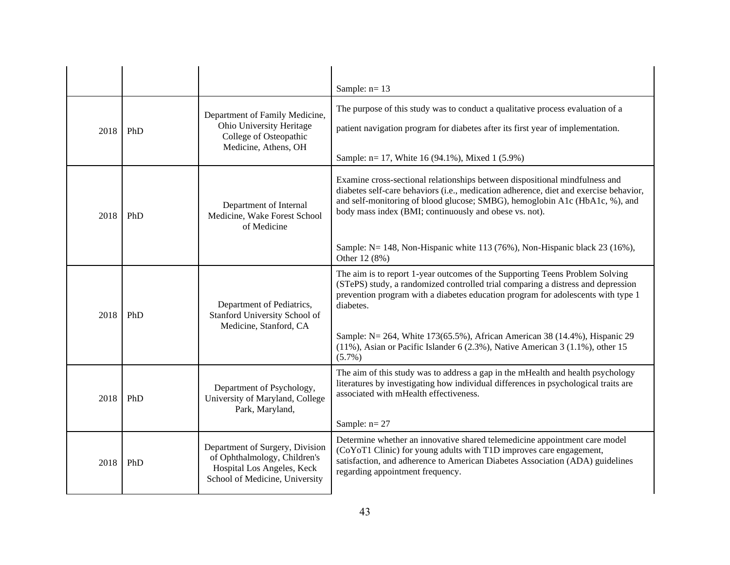|      |     |                                                                                                                                 | Sample: $n=13$                                                                                                                                                                                                                                                                                                                                                                              |
|------|-----|---------------------------------------------------------------------------------------------------------------------------------|---------------------------------------------------------------------------------------------------------------------------------------------------------------------------------------------------------------------------------------------------------------------------------------------------------------------------------------------------------------------------------------------|
| 2018 | PhD | Department of Family Medicine,<br>Ohio University Heritage<br>College of Osteopathic<br>Medicine, Athens, OH                    | The purpose of this study was to conduct a qualitative process evaluation of a<br>patient navigation program for diabetes after its first year of implementation.<br>Sample: n= 17, White 16 (94.1%), Mixed 1 (5.9%)                                                                                                                                                                        |
| 2018 | PhD | Department of Internal<br>Medicine, Wake Forest School<br>of Medicine                                                           | Examine cross-sectional relationships between dispositional mindfulness and<br>diabetes self-care behaviors (i.e., medication adherence, diet and exercise behavior,<br>and self-monitoring of blood glucose; SMBG), hemoglobin A1c (HbA1c, %), and<br>body mass index (BMI; continuously and obese vs. not).<br>Sample: N= 148, Non-Hispanic white 113 (76%), Non-Hispanic black 23 (16%), |
|      |     |                                                                                                                                 | Other 12 (8%)                                                                                                                                                                                                                                                                                                                                                                               |
| 2018 | PhD | Department of Pediatrics,<br>Stanford University School of<br>Medicine, Stanford, CA                                            | The aim is to report 1-year outcomes of the Supporting Teens Problem Solving<br>(STePS) study, a randomized controlled trial comparing a distress and depression<br>prevention program with a diabetes education program for adolescents with type 1<br>diabetes.<br>Sample: N= 264, White 173(65.5%), African American 38 (14.4%), Hispanic 29                                             |
|      |     |                                                                                                                                 | $(11\%)$ , Asian or Pacific Islander 6 (2.3%), Native American 3 (1.1%), other 15<br>$(5.7\%)$                                                                                                                                                                                                                                                                                              |
| 2018 | PhD | Department of Psychology,<br>University of Maryland, College<br>Park, Maryland,                                                 | The aim of this study was to address a gap in the mHealth and health psychology<br>literatures by investigating how individual differences in psychological traits are<br>associated with mHealth effectiveness.                                                                                                                                                                            |
|      |     |                                                                                                                                 | Sample: $n=27$                                                                                                                                                                                                                                                                                                                                                                              |
| 2018 | PhD | Department of Surgery, Division<br>of Ophthalmology, Children's<br>Hospital Los Angeles, Keck<br>School of Medicine, University | Determine whether an innovative shared telemedicine appointment care model<br>(CoYoT1 Clinic) for young adults with T1D improves care engagement,<br>satisfaction, and adherence to American Diabetes Association (ADA) guidelines<br>regarding appointment frequency.                                                                                                                      |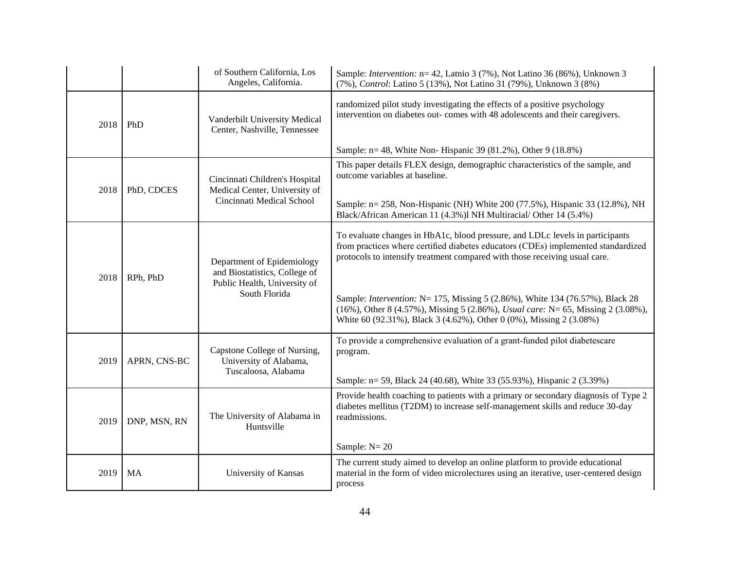|             |              | of Southern California, Los<br>Angeles, California.                                                          | Sample: <i>Intervention:</i> n= 42, Latnio 3 (7%), Not Latino 36 (86%), Unknown 3<br>(7%), Control: Latino 5 (13%), Not Latino 31 (79%), Unknown 3 (8%)                                                                                                                                                                                                                                                                                                                                             |
|-------------|--------------|--------------------------------------------------------------------------------------------------------------|-----------------------------------------------------------------------------------------------------------------------------------------------------------------------------------------------------------------------------------------------------------------------------------------------------------------------------------------------------------------------------------------------------------------------------------------------------------------------------------------------------|
| 2018<br>PhD |              | Vanderbilt University Medical<br>Center, Nashville, Tennessee                                                | randomized pilot study investigating the effects of a positive psychology<br>intervention on diabetes out- comes with 48 adolescents and their caregivers.                                                                                                                                                                                                                                                                                                                                          |
|             |              |                                                                                                              | Sample: n= 48, White Non- Hispanic 39 (81.2%), Other 9 (18.8%)                                                                                                                                                                                                                                                                                                                                                                                                                                      |
| 2018        | PhD, CDCES   | Cincinnati Children's Hospital<br>Medical Center, University of                                              | This paper details FLEX design, demographic characteristics of the sample, and<br>outcome variables at baseline.                                                                                                                                                                                                                                                                                                                                                                                    |
|             |              | Cincinnati Medical School                                                                                    | Sample: n= 258, Non-Hispanic (NH) White 200 (77.5%), Hispanic 33 (12.8%), NH<br>Black/African American 11 (4.3%) INH Multiracial/ Other 14 (5.4%)                                                                                                                                                                                                                                                                                                                                                   |
| 2018        | RPh, PhD     | Department of Epidemiology<br>and Biostatistics, College of<br>Public Health, University of<br>South Florida | To evaluate changes in HbA1c, blood pressure, and LDLc levels in participants<br>from practices where certified diabetes educators (CDEs) implemented standardized<br>protocols to intensify treatment compared with those receiving usual care.<br>Sample: <i>Intervention:</i> N= 175, Missing 5 (2.86%), White 134 (76.57%), Black 28<br>(16%), Other 8 (4.57%), Missing 5 (2.86%), Usual care: N= 65, Missing 2 (3.08%),<br>White 60 (92.31%), Black 3 (4.62%), Other 0 (0%), Missing 2 (3.08%) |
| 2019        | APRN, CNS-BC | Capstone College of Nursing,<br>University of Alabama,<br>Tuscaloosa, Alabama                                | To provide a comprehensive evaluation of a grant-funded pilot diabetescare<br>program.<br>Sample: n = 59, Black 24 (40.68), White 33 (55.93%), Hispanic 2 (3.39%)                                                                                                                                                                                                                                                                                                                                   |
| 2019        | DNP, MSN, RN | The University of Alabama in<br>Huntsville                                                                   | Provide health coaching to patients with a primary or secondary diagnosis of Type 2<br>diabetes mellitus (T2DM) to increase self-management skills and reduce 30-day<br>readmissions.<br>Sample: $N = 20$                                                                                                                                                                                                                                                                                           |
| 2019        | MA           | University of Kansas                                                                                         | The current study aimed to develop an online platform to provide educational<br>material in the form of video microlectures using an iterative, user-centered design<br>process                                                                                                                                                                                                                                                                                                                     |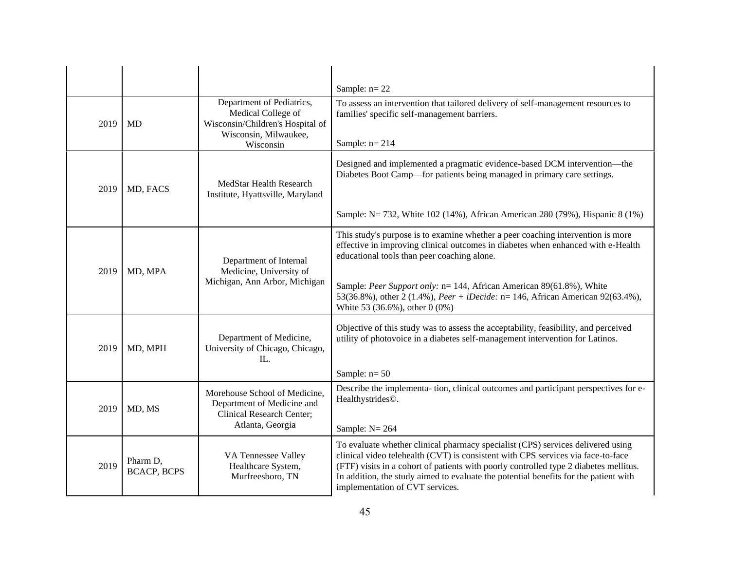|      |                                |                                                                                                                           | Sample: $n=22$                                                                                                                                                                                                                                                                                                                                                                                                 |
|------|--------------------------------|---------------------------------------------------------------------------------------------------------------------------|----------------------------------------------------------------------------------------------------------------------------------------------------------------------------------------------------------------------------------------------------------------------------------------------------------------------------------------------------------------------------------------------------------------|
| 2019 | MD                             | Department of Pediatrics,<br>Medical College of<br>Wisconsin/Children's Hospital of<br>Wisconsin, Milwaukee,<br>Wisconsin | To assess an intervention that tailored delivery of self-management resources to<br>families' specific self-management barriers.<br>Sample: $n=214$                                                                                                                                                                                                                                                            |
| 2019 | MD, FACS                       | MedStar Health Research<br>Institute, Hyattsville, Maryland                                                               | Designed and implemented a pragmatic evidence-based DCM intervention-the<br>Diabetes Boot Camp—for patients being managed in primary care settings.<br>Sample: N = 732, White 102 (14%), African American 280 (79%), Hispanic 8 (1%)                                                                                                                                                                           |
| 2019 | MD, MPA                        | Department of Internal<br>Medicine, University of<br>Michigan, Ann Arbor, Michigan                                        | This study's purpose is to examine whether a peer coaching intervention is more<br>effective in improving clinical outcomes in diabetes when enhanced with e-Health<br>educational tools than peer coaching alone.<br>Sample: Peer Support only: n= 144, African American 89(61.8%), White<br>53(36.8%), other 2 (1.4%), Peer + iDecide: n= 146, African American 92(63.4%),<br>White 53 (36.6%), other 0 (0%) |
| 2019 | MD, MPH                        | Department of Medicine,<br>University of Chicago, Chicago,<br>IL.                                                         | Objective of this study was to assess the acceptability, feasibility, and perceived<br>utility of photovoice in a diabetes self-management intervention for Latinos.<br>Sample: $n=50$                                                                                                                                                                                                                         |
| 2019 | MD, MS                         | Morehouse School of Medicine,<br>Department of Medicine and<br>Clinical Research Center;<br>Atlanta, Georgia              | Describe the implementa- tion, clinical outcomes and participant perspectives for e-<br>Healthystrides©.<br>Sample: $N = 264$                                                                                                                                                                                                                                                                                  |
| 2019 | Pharm D,<br><b>BCACP, BCPS</b> | VA Tennessee Valley<br>Healthcare System,<br>Murfreesboro, TN                                                             | To evaluate whether clinical pharmacy specialist (CPS) services delivered using<br>clinical video telehealth (CVT) is consistent with CPS services via face-to-face<br>(FTF) visits in a cohort of patients with poorly controlled type 2 diabetes mellitus.<br>In addition, the study aimed to evaluate the potential benefits for the patient with<br>implementation of CVT services.                        |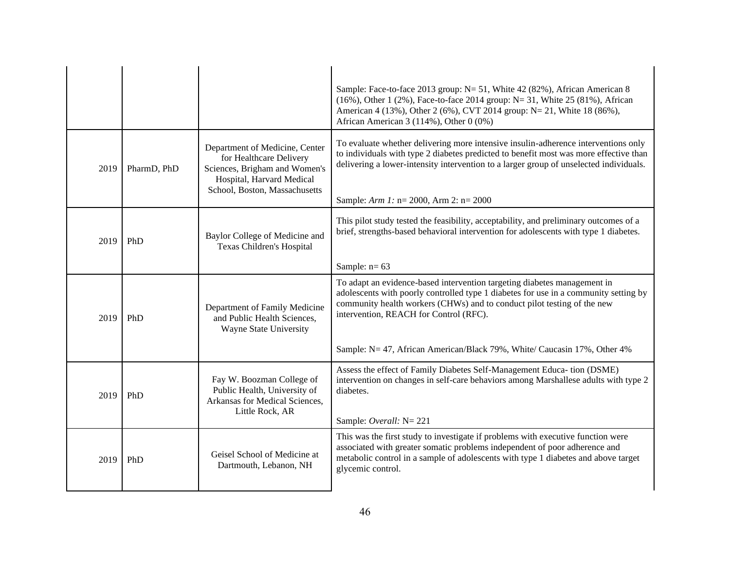|      |             |                                                                                                                                                          | Sample: Face-to-face 2013 group: N= 51, White 42 (82%), African American 8<br>(16%), Other 1 (2%), Face-to-face 2014 group: N= 31, White 25 (81%), African<br>American 4 (13%), Other 2 (6%), CVT 2014 group: N= 21, White 18 (86%),<br>African American 3 (114%), Other 0 (0%)                                                                                   |  |
|------|-------------|----------------------------------------------------------------------------------------------------------------------------------------------------------|-------------------------------------------------------------------------------------------------------------------------------------------------------------------------------------------------------------------------------------------------------------------------------------------------------------------------------------------------------------------|--|
| 2019 | PharmD, PhD | Department of Medicine, Center<br>for Healthcare Delivery<br>Sciences, Brigham and Women's<br>Hospital, Harvard Medical<br>School, Boston, Massachusetts | To evaluate whether delivering more intensive insulin-adherence interventions only<br>to individuals with type 2 diabetes predicted to benefit most was more effective than<br>delivering a lower-intensity intervention to a larger group of unselected individuals.<br>Sample: $Arm 1: n = 2000$ , $ Arm 2: n = 2000$                                           |  |
| 2019 | PhD         | Baylor College of Medicine and<br>Texas Children's Hospital                                                                                              | This pilot study tested the feasibility, acceptability, and preliminary outcomes of a<br>brief, strengths-based behavioral intervention for adolescents with type 1 diabetes.<br>Sample: $n=63$                                                                                                                                                                   |  |
| 2019 | PhD         | Department of Family Medicine<br>and Public Health Sciences,<br>Wayne State University                                                                   | To adapt an evidence-based intervention targeting diabetes management in<br>adolescents with poorly controlled type 1 diabetes for use in a community setting by<br>community health workers (CHWs) and to conduct pilot testing of the new<br>intervention, REACH for Control (RFC).<br>Sample: N= 47, African American/Black 79%, White/ Caucasin 17%, Other 4% |  |
| 2019 | PhD         | Fay W. Boozman College of<br>Public Health, University of<br>Arkansas for Medical Sciences,<br>Little Rock, AR                                           | Assess the effect of Family Diabetes Self-Management Educa- tion (DSME)<br>intervention on changes in self-care behaviors among Marshallese adults with type 2<br>diabetes.<br>Sample: Overall: N= 221                                                                                                                                                            |  |
| 2019 | PhD         | Geisel School of Medicine at<br>Dartmouth, Lebanon, NH                                                                                                   | This was the first study to investigate if problems with executive function were<br>associated with greater somatic problems independent of poor adherence and<br>metabolic control in a sample of adolescents with type 1 diabetes and above target<br>glycemic control.                                                                                         |  |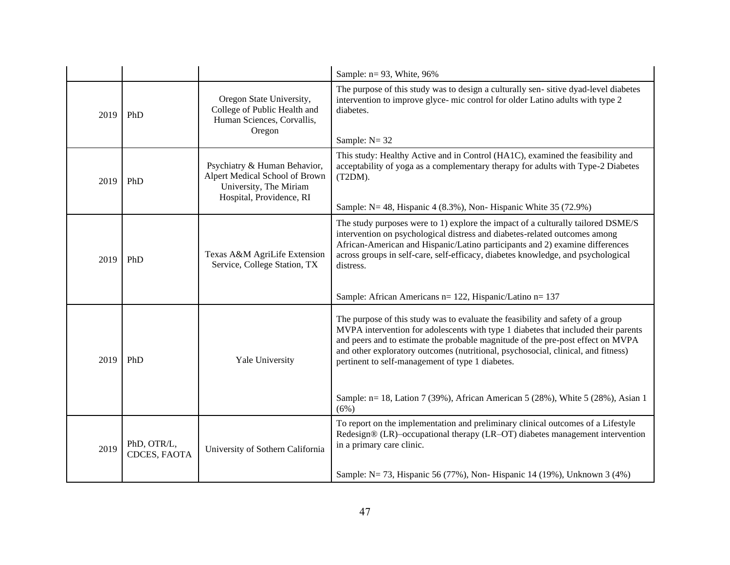|      |                             |                                                                                                                      | Sample: $n=93$ , White, 96%                                                                                                                                                                                                                                                                                                                                                                                                                                                                  |  |  |  |
|------|-----------------------------|----------------------------------------------------------------------------------------------------------------------|----------------------------------------------------------------------------------------------------------------------------------------------------------------------------------------------------------------------------------------------------------------------------------------------------------------------------------------------------------------------------------------------------------------------------------------------------------------------------------------------|--|--|--|
| 2019 | PhD                         | Oregon State University,<br>College of Public Health and<br>Human Sciences, Corvallis,<br>Oregon                     | The purpose of this study was to design a culturally sen-sitive dyad-level diabetes<br>intervention to improve glyce- mic control for older Latino adults with type 2<br>diabetes.<br>Sample: $N = 32$                                                                                                                                                                                                                                                                                       |  |  |  |
| 2019 | PhD                         | Psychiatry & Human Behavior,<br>Alpert Medical School of Brown<br>University, The Miriam<br>Hospital, Providence, RI | This study: Healthy Active and in Control (HA1C), examined the feasibility and<br>acceptability of yoga as a complementary therapy for adults with Type-2 Diabetes<br>(T2DM).<br>Sample: $N = 48$ , Hispanic 4 (8.3%), Non-Hispanic White 35 (72.9%)                                                                                                                                                                                                                                         |  |  |  |
| 2019 | PhD                         | Texas A&M AgriLife Extension<br>Service, College Station, TX                                                         | The study purposes were to 1) explore the impact of a culturally tailored DSME/S<br>intervention on psychological distress and diabetes-related outcomes among<br>African-American and Hispanic/Latino participants and 2) examine differences<br>across groups in self-care, self-efficacy, diabetes knowledge, and psychological<br>distress.<br>Sample: African Americans n= 122, Hispanic/Latino n= 137                                                                                  |  |  |  |
| 2019 | PhD                         | Yale University                                                                                                      | The purpose of this study was to evaluate the feasibility and safety of a group<br>MVPA intervention for adolescents with type 1 diabetes that included their parents<br>and peers and to estimate the probable magnitude of the pre-post effect on MVPA<br>and other exploratory outcomes (nutritional, psychosocial, clinical, and fitness)<br>pertinent to self-management of type 1 diabetes.<br>Sample: n= 18, Lation 7 (39%), African American 5 (28%), White 5 (28%), Asian 1<br>(6%) |  |  |  |
| 2019 | PhD, OTR/L,<br>CDCES, FAOTA | University of Sothern California                                                                                     | To report on the implementation and preliminary clinical outcomes of a Lifestyle<br>Redesign® (LR)–occupational therapy (LR–OT) diabetes management intervention<br>in a primary care clinic.<br>Sample: N= 73, Hispanic 56 (77%), Non-Hispanic 14 (19%), Unknown 3 (4%)                                                                                                                                                                                                                     |  |  |  |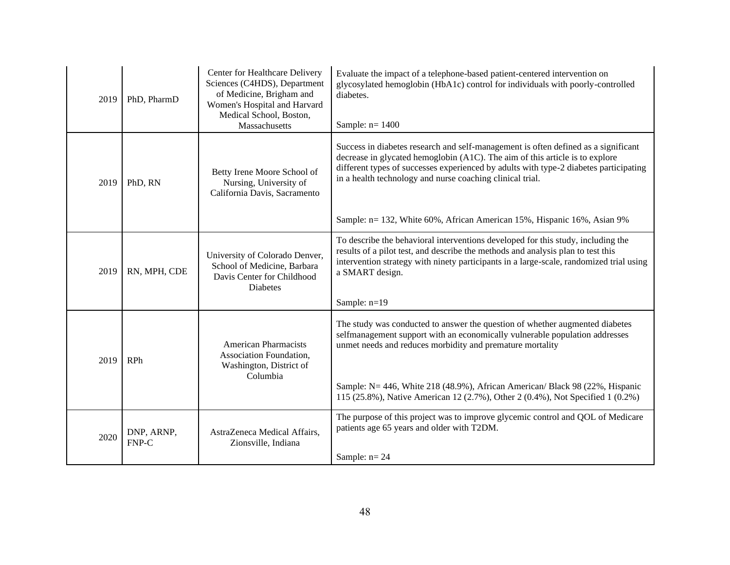| 2019 | PhD, PharmD         | Center for Healthcare Delivery<br>Sciences (C4HDS), Department<br>of Medicine, Brigham and<br>Women's Hospital and Harvard<br>Medical School, Boston,<br>Massachusetts | Evaluate the impact of a telephone-based patient-centered intervention on<br>glycosylated hemoglobin (HbA1c) control for individuals with poorly-controlled<br>diabetes.<br>Sample: $n=1400$                                                                                                                                                                                                        |  |  |
|------|---------------------|------------------------------------------------------------------------------------------------------------------------------------------------------------------------|-----------------------------------------------------------------------------------------------------------------------------------------------------------------------------------------------------------------------------------------------------------------------------------------------------------------------------------------------------------------------------------------------------|--|--|
| 2019 | PhD, RN             | Betty Irene Moore School of<br>Nursing, University of<br>California Davis, Sacramento                                                                                  | Success in diabetes research and self-management is often defined as a significant<br>decrease in glycated hemoglobin (A1C). The aim of this article is to explore<br>different types of successes experienced by adults with type-2 diabetes participating<br>in a health technology and nurse coaching clinical trial.<br>Sample: n= 132, White 60%, African American 15%, Hispanic 16%, Asian 9% |  |  |
| 2019 | RN, MPH, CDE        | University of Colorado Denver,<br>School of Medicine, Barbara<br>Davis Center for Childhood<br>Diabetes                                                                | To describe the behavioral interventions developed for this study, including the<br>results of a pilot test, and describe the methods and analysis plan to test this<br>intervention strategy with ninety participants in a large-scale, randomized trial using<br>a SMART design.<br>Sample: n=19                                                                                                  |  |  |
| 2019 | <b>RPh</b>          | <b>American Pharmacists</b><br>Association Foundation,<br>Washington, District of<br>Columbia                                                                          | The study was conducted to answer the question of whether augmented diabetes<br>selfmanagement support with an economically vulnerable population addresses<br>unmet needs and reduces morbidity and premature mortality<br>Sample: N= 446, White 218 (48.9%), African American/ Black 98 (22%, Hispanic<br>115 (25.8%), Native American 12 (2.7%), Other 2 (0.4%), Not Specified 1 (0.2%)          |  |  |
| 2020 | DNP, ARNP,<br>FNP-C | AstraZeneca Medical Affairs,<br>Zionsville, Indiana                                                                                                                    | The purpose of this project was to improve glycemic control and QOL of Medicare<br>patients age 65 years and older with T2DM.<br>Sample: $n=24$                                                                                                                                                                                                                                                     |  |  |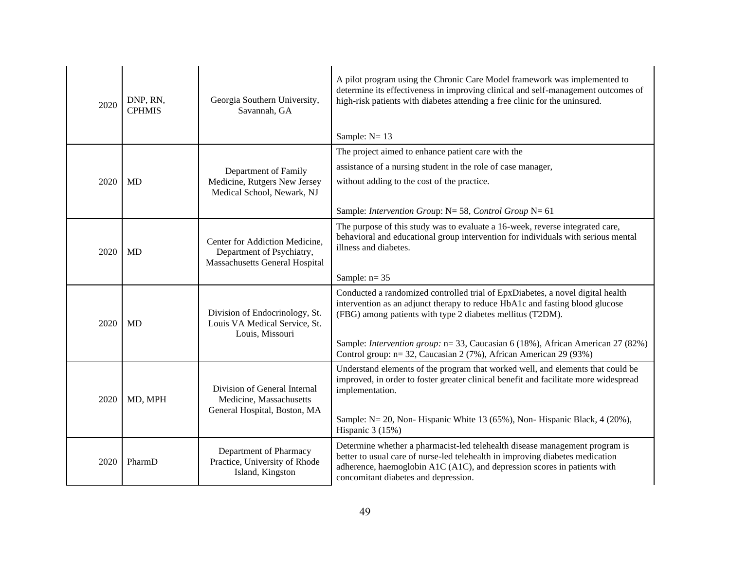| 2020 | DNP, RN,<br><b>CPHMIS</b> | Georgia Southern University,<br>Savannah, GA                                                         | A pilot program using the Chronic Care Model framework was implemented to<br>determine its effectiveness in improving clinical and self-management outcomes of<br>high-risk patients with diabetes attending a free clinic for the uninsured.<br>Sample: $N = 13$                                                                                                                            |  |
|------|---------------------------|------------------------------------------------------------------------------------------------------|----------------------------------------------------------------------------------------------------------------------------------------------------------------------------------------------------------------------------------------------------------------------------------------------------------------------------------------------------------------------------------------------|--|
| 2020 | <b>MD</b>                 | Department of Family<br>Medicine, Rutgers New Jersey<br>Medical School, Newark, NJ                   | The project aimed to enhance patient care with the<br>assistance of a nursing student in the role of case manager,<br>without adding to the cost of the practice.<br>Sample: Intervention Group: $N = 58$ , Control Group $N = 61$                                                                                                                                                           |  |
| 2020 | <b>MD</b>                 | Center for Addiction Medicine,<br>Department of Psychiatry,<br><b>Massachusetts General Hospital</b> | The purpose of this study was to evaluate a 16-week, reverse integrated care,<br>behavioral and educational group intervention for individuals with serious mental<br>illness and diabetes.<br>Sample: $n=35$                                                                                                                                                                                |  |
| 2020 | MD                        | Division of Endocrinology, St.<br>Louis VA Medical Service, St.<br>Louis, Missouri                   | Conducted a randomized controlled trial of EpxDiabetes, a novel digital health<br>intervention as an adjunct therapy to reduce HbA1c and fasting blood glucose<br>(FBG) among patients with type 2 diabetes mellitus (T2DM).<br>Sample: <i>Intervention group</i> : n= 33, Caucasian 6 (18%), African American 27 (82%)<br>Control group: n= 32, Caucasian 2 (7%), African American 29 (93%) |  |
| 2020 | MD, MPH                   | Division of General Internal<br>Medicine, Massachusetts<br>General Hospital, Boston, MA              | Understand elements of the program that worked well, and elements that could be<br>improved, in order to foster greater clinical benefit and facilitate more widespread<br>implementation.<br>Sample: N= 20, Non- Hispanic White 13 (65%), Non- Hispanic Black, 4 (20%),<br>Hispanic 3 (15%)                                                                                                 |  |
| 2020 | PharmD                    | Department of Pharmacy<br>Practice, University of Rhode<br>Island, Kingston                          | Determine whether a pharmacist-led telehealth disease management program is<br>better to usual care of nurse-led telehealth in improving diabetes medication<br>adherence, haemoglobin A1C (A1C), and depression scores in patients with<br>concomitant diabetes and depression.                                                                                                             |  |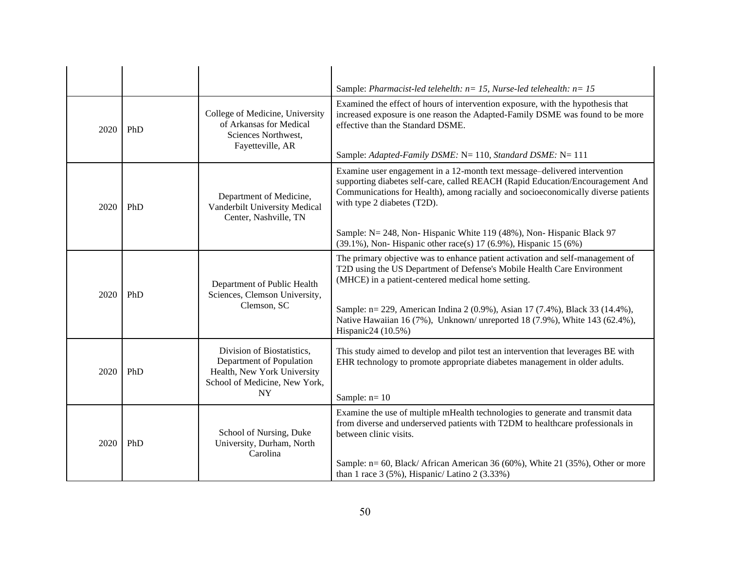|      |     |                                                                                                                                     | Sample: Pharmacist-led telehelth: $n=15$ , Nurse-led telehealth: $n=15$                                                                                                                                                                                                                                                                                                                                                     |  |  |  |
|------|-----|-------------------------------------------------------------------------------------------------------------------------------------|-----------------------------------------------------------------------------------------------------------------------------------------------------------------------------------------------------------------------------------------------------------------------------------------------------------------------------------------------------------------------------------------------------------------------------|--|--|--|
| 2020 | PhD | College of Medicine, University<br>of Arkansas for Medical<br>Sciences Northwest,<br>Fayetteville, AR                               | Examined the effect of hours of intervention exposure, with the hypothesis that<br>increased exposure is one reason the Adapted-Family DSME was found to be more<br>effective than the Standard DSME.<br>Sample: Adapted-Family DSME: N= 110, Standard DSME: N= 111                                                                                                                                                         |  |  |  |
| 2020 | PhD | Department of Medicine,<br>Vanderbilt University Medical<br>Center, Nashville, TN                                                   | Examine user engagement in a 12-month text message-delivered intervention<br>supporting diabetes self-care, called REACH (Rapid Education/Encouragement And<br>Communications for Health), among racially and socioeconomically diverse patients<br>with type 2 diabetes (T2D).<br>Sample: N= 248, Non- Hispanic White 119 (48%), Non- Hispanic Black 97<br>(39.1%), Non-Hispanic other race(s) 17 (6.9%), Hispanic 15 (6%) |  |  |  |
| 2020 | PhD | Department of Public Health<br>Sciences, Clemson University,<br>Clemson, SC                                                         | The primary objective was to enhance patient activation and self-management of<br>T2D using the US Department of Defense's Mobile Health Care Environment<br>(MHCE) in a patient-centered medical home setting.<br>Sample: n= 229, American Indina 2 (0.9%), Asian 17 (7.4%), Black 33 (14.4%),<br>Native Hawaiian 16 (7%), Unknown/ unreported 18 (7.9%), White 143 (62.4%),<br>Hispanic24 (10.5%)                         |  |  |  |
| 2020 | PhD | Division of Biostatistics,<br>Department of Population<br>Health, New York University<br>School of Medicine, New York,<br><b>NY</b> | This study aimed to develop and pilot test an intervention that leverages BE with<br>EHR technology to promote appropriate diabetes management in older adults.<br>Sample: $n=10$                                                                                                                                                                                                                                           |  |  |  |
| 2020 | PhD | School of Nursing, Duke<br>University, Durham, North<br>Carolina                                                                    | Examine the use of multiple mHealth technologies to generate and transmit data<br>from diverse and underserved patients with T2DM to healthcare professionals in<br>between clinic visits.<br>Sample: n= 60, Black/ African American 36 (60%), White 21 (35%), Other or more<br>than 1 race $3(5\%)$ , Hispanic/Latino 2(3.33%)                                                                                             |  |  |  |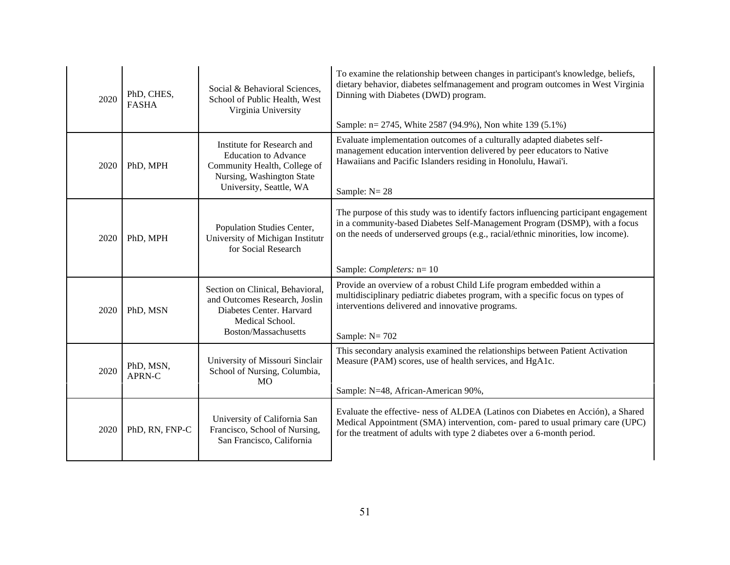| 2020 | PhD, CHES,<br><b>FASHA</b> | Social & Behavioral Sciences,<br>School of Public Health, West<br>Virginia University                                                             | To examine the relationship between changes in participant's knowledge, beliefs,<br>dietary behavior, diabetes selfmanagement and program outcomes in West Virginia<br>Dinning with Diabetes (DWD) program.<br>Sample: n= 2745, White 2587 (94.9%), Non white 139 (5.1%)             |  |
|------|----------------------------|---------------------------------------------------------------------------------------------------------------------------------------------------|--------------------------------------------------------------------------------------------------------------------------------------------------------------------------------------------------------------------------------------------------------------------------------------|--|
| 2020 | PhD, MPH                   | Institute for Research and<br><b>Education to Advance</b><br>Community Health, College of<br>Nursing, Washington State<br>University, Seattle, WA | Evaluate implementation outcomes of a culturally adapted diabetes self-<br>management education intervention delivered by peer educators to Native<br>Hawaiians and Pacific Islanders residing in Honolulu, Hawai'i.<br>Sample: $N = 28$                                             |  |
| 2020 | PhD, MPH                   | Population Studies Center,<br>University of Michigan Institutr<br>for Social Research                                                             | The purpose of this study was to identify factors influencing participant engagement<br>in a community-based Diabetes Self-Management Program (DSMP), with a focus<br>on the needs of underserved groups (e.g., racial/ethnic minorities, low income).<br>Sample: Completers: $n=10$ |  |
| 2020 | PhD, MSN                   | Section on Clinical, Behavioral,<br>and Outcomes Research, Joslin<br>Diabetes Center. Harvard<br>Medical School.<br>Boston/Massachusetts          | Provide an overview of a robust Child Life program embedded within a<br>multidisciplinary pediatric diabetes program, with a specific focus on types of<br>interventions delivered and innovative programs.<br>Sample: $N = 702$                                                     |  |
| 2020 | PhD, MSN,<br>APRN-C        | University of Missouri Sinclair<br>School of Nursing, Columbia,<br>M <sub>O</sub>                                                                 | This secondary analysis examined the relationships between Patient Activation<br>Measure (PAM) scores, use of health services, and HgA1c.<br>Sample: N=48, African-American 90%,                                                                                                     |  |
| 2020 | PhD, RN, FNP-C             | University of California San<br>Francisco, School of Nursing,<br>San Francisco, California                                                        | Evaluate the effective- ness of ALDEA (Latinos con Diabetes en Acción), a Shared<br>Medical Appointment (SMA) intervention, com- pared to usual primary care (UPC)<br>for the treatment of adults with type 2 diabetes over a 6-month period.                                        |  |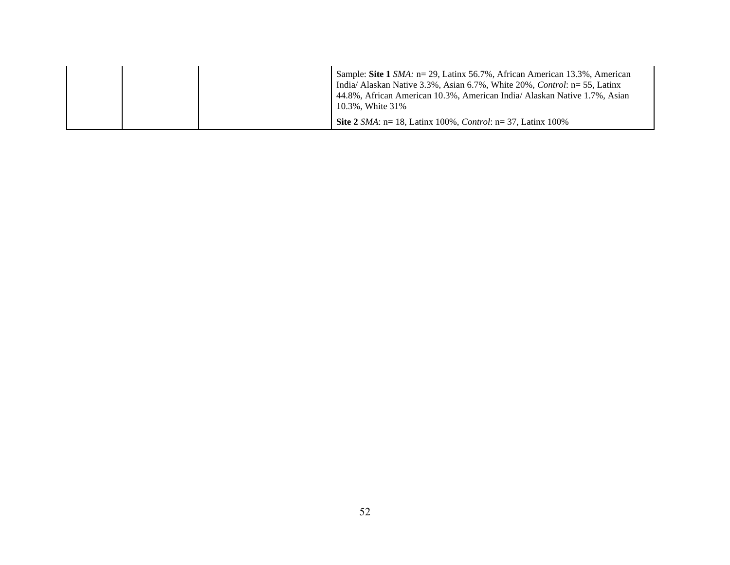|  | Sample: Site 1 SMA: n= 29, Latinx 56.7%, African American 13.3%, American<br>India/ Alaskan Native 3.3%, Asian 6.7%, White $20\%$ , Control: $n=55$ , Latinx<br>44.8%, African American 10.3%, American India/ Alaskan Native 1.7%, Asian<br>10.3%, White 31% |
|--|---------------------------------------------------------------------------------------------------------------------------------------------------------------------------------------------------------------------------------------------------------------|
|  | <b>Site 2</b> <i>SMA</i> : $n = 18$ , Latinx 100%, <i>Control</i> : $n = 37$ , Latinx 100%                                                                                                                                                                    |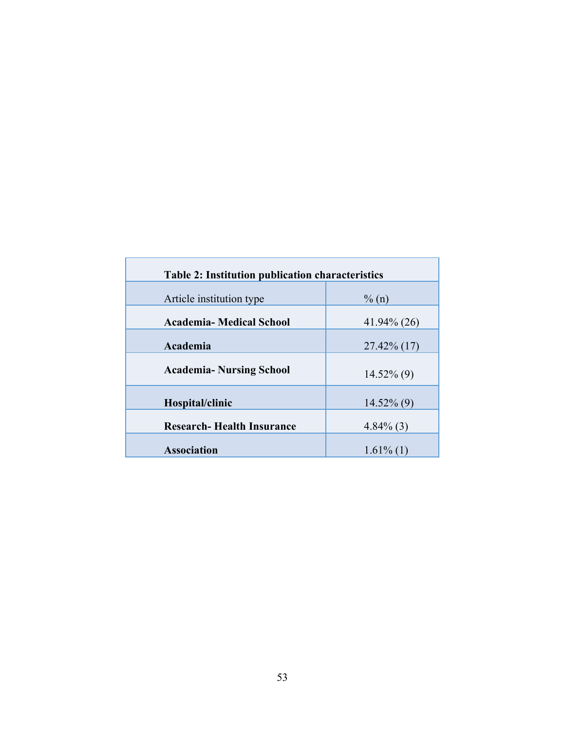| <b>Table 2: Institution publication characteristics</b> |                |  |  |  |  |
|---------------------------------------------------------|----------------|--|--|--|--|
| Article institution type                                | $\% (n)$       |  |  |  |  |
| <b>Academia- Medical School</b>                         | $41.94\%$ (26) |  |  |  |  |
| Academia                                                | $27.42\%$ (17) |  |  |  |  |
| <b>Academia- Nursing School</b>                         | $14.52\%$ (9)  |  |  |  |  |
| Hospital/clinic                                         | $14.52\%$ (9)  |  |  |  |  |
| <b>Research-Health Insurance</b>                        | $4.84\%$ (3)   |  |  |  |  |
| <b>Association</b>                                      | $1.61\%$ (1)   |  |  |  |  |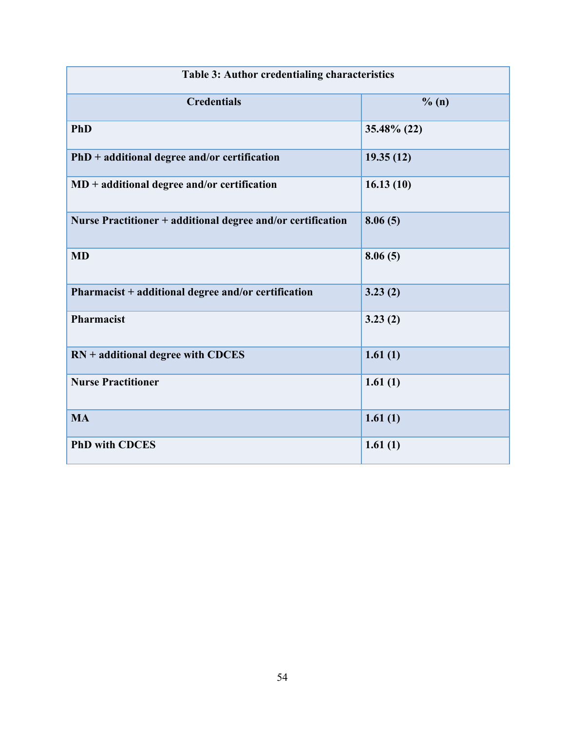| Table 3: Author credentialing characteristics               |             |  |  |  |  |
|-------------------------------------------------------------|-------------|--|--|--|--|
| <b>Credentials</b>                                          | % (n)       |  |  |  |  |
| <b>PhD</b>                                                  | 35.48% (22) |  |  |  |  |
| $PhD + additional degree and/or certification$              | 19.35(12)   |  |  |  |  |
| $MD + additional degree and/or certification$               | 16.13(10)   |  |  |  |  |
| Nurse Practitioner + additional degree and/or certification | 8.06(5)     |  |  |  |  |
| <b>MD</b>                                                   | 8.06(5)     |  |  |  |  |
| Pharmacist + additional degree and/or certification         | 3.23(2)     |  |  |  |  |
| Pharmacist                                                  | 3.23(2)     |  |  |  |  |
| $RN + additional degree with CDCES$                         | 1.61(1)     |  |  |  |  |
| <b>Nurse Practitioner</b>                                   | 1.61(1)     |  |  |  |  |
| <b>MA</b>                                                   | 1.61(1)     |  |  |  |  |
| <b>PhD with CDCES</b>                                       | 1.61(1)     |  |  |  |  |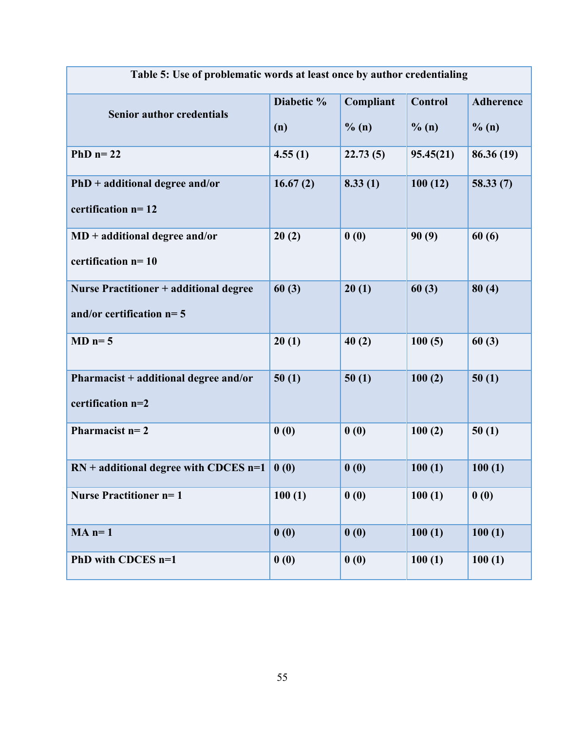| Table 5: Use of problematic words at least once by author credentialing |            |           |                |                  |  |
|-------------------------------------------------------------------------|------------|-----------|----------------|------------------|--|
| <b>Senior author credentials</b>                                        | Diabetic % | Compliant | <b>Control</b> | <b>Adherence</b> |  |
|                                                                         | (n)        | $\%$ (n)  | $\%$ (n)       | $\%$ (n)         |  |
| PhD $n=22$                                                              | 4.55(1)    | 22.73(5)  | 95.45(21)      | 86.36(19)        |  |
| $PhD + additional degree and/or$                                        | 16.67(2)   | 8.33(1)   | 100(12)        | 58.33(7)         |  |
| certification $n=12$                                                    |            |           |                |                  |  |
| $MD + additional degree and/or$                                         | 20(2)      | 0(0)      | 90(9)          | 60(6)            |  |
| certification $n=10$                                                    |            |           |                |                  |  |
| <b>Nurse Practitioner + additional degree</b>                           | 60(3)      | 20(1)     | 60(3)          | 80(4)            |  |
| and/or certification $n=5$                                              |            |           |                |                  |  |
| $MD$ n= 5                                                               | 20(1)      | 40(2)     | 100(5)         | 60(3)            |  |
| Pharmacist + additional degree and/or                                   | 50(1)      | 50(1)     | 100(2)         | 50(1)            |  |
| certification n=2                                                       |            |           |                |                  |  |
| Pharmacist $n=2$                                                        | 0(0)       | 0(0)      | 100(2)         | 50(1)            |  |
| $RN + additional degree with CDCES$ n=1                                 | 0(0)       | 0(0)      | 100(1)         | 100(1)           |  |
| <b>Nurse Practitioner n=1</b>                                           | 100(1)     | 0(0)      | 100(1)         | 0(0)             |  |
| $MA$ n= 1                                                               | 0(0)       | 0(0)      | 100(1)         | 100(1)           |  |
| PhD with CDCES n=1                                                      | 0(0)       | 0(0)      | 100(1)         | 100(1)           |  |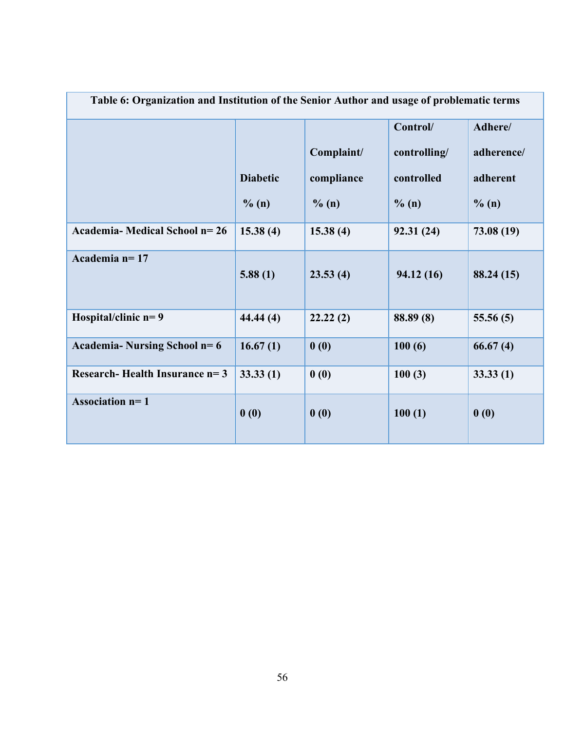| Table 6: Organization and Institution of the Senior Author and usage of problematic terms |                 |            |              |            |  |  |
|-------------------------------------------------------------------------------------------|-----------------|------------|--------------|------------|--|--|
|                                                                                           |                 |            | Control/     | Adhere/    |  |  |
|                                                                                           |                 | Complaint/ | controlling/ | adherence/ |  |  |
|                                                                                           | <b>Diabetic</b> | compliance | controlled   | adherent   |  |  |
|                                                                                           | % (n)           | % (n)      | $\%$ (n)     | % (n)      |  |  |
| <b>Academia-Medical School n=26</b>                                                       | 15.38(4)        | 15.38(4)   | 92.31 (24)   | 73.08 (19) |  |  |
| Academia n= 17                                                                            | 5.88(1)         | 23.53(4)   | 94.12(16)    | 88.24 (15) |  |  |
| Hospital/clinic $n=9$                                                                     | 44.44(4)        | 22.22(2)   | 88.89 (8)    | 55.56(5)   |  |  |
| Academia-Nursing School $n=6$                                                             | 16.67(1)        | 0(0)       | 100(6)       | 66.67(4)   |  |  |
| Research-Health Insurance $n=3$                                                           | 33.33(1)        | 0(0)       | 100(3)       | 33.33(1)   |  |  |
| Association $n=1$                                                                         | 0(0)            | 0(0)       | 100(1)       | 0(0)       |  |  |